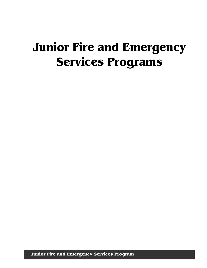### **Junior Fire and Emergency Services Programs**

**Junior Fire and Emergency Services Program**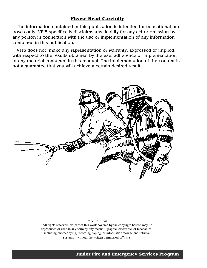#### **Please Read Carefully**

The information contained in this publication is intended for educational purposes only. VFIS specifically disclaims any liability for any act or omission by any person in connection with the use or implementation of any information contained in this publication.

VFIS does not make any representation or warranty, expressed or implied, with respect to the results obtained by the use, adherence or implementation of any material contained in this manual. The implementation of the content is not a guarantee that you will achieve a certain desired result.



© VFIS, 1998

All rights reserved. No part of this work covered by the copyright hereon may be reproduced or used in any form by any means––graphic, electronic, or mechanical, including photocopying, recording, taping, or information storage and retrieval systems––without the written permission of VFIS.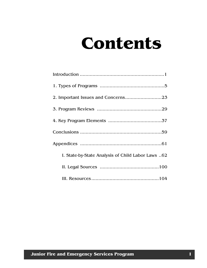# **Contents**

| 2. Important Issues and Concerns23                |
|---------------------------------------------------|
|                                                   |
|                                                   |
|                                                   |
|                                                   |
| I. State-by-State Analysis of Child Labor Laws 62 |
|                                                   |
|                                                   |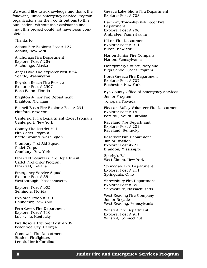We would like to acknowledge and thank the following Junior Emergency Service Program organizations for their contributions to this publication. Without their assistance and input this project could not have been completed.

Thanks to:

Adams Fire Explorer Post # 137 Adams, New York

Anchorage Fire Department Explorer Post # 264 Anchorage, Alaska

Angel Lake Fire Explorer Post # 24 Seattle, Washington

Boynton Beach Fire Rescue Explorer Post # 2397 Boca Raton, Florida

Brighton Junior Fire Department Brighton, Michigan

Busnell Basin Fire Explorer Post # 291 Pittsford, New York

Centerport Fire Department Cadet Program Centerport, New York

County Fire District #11 Fire Cadet Program Battle Ground, Washington

Cranbury First Aid Squad Cadet Corps Cranbury, New York

Elberfeld Volunteer Fire Department Cadet Firefighter Program Elberfeld, Indiana

Emergency Service Squad Explorer Post # 85 Westborough, Massachusetts

Explorer Post # 905 Seminole, Florida

Explorer Troop # 911 Dannemor, New York

Fern Creek Fire Department Explorer Post # 710 Louisville, Kentucky

Fire Rescue Explorer Post # 209 Peachtree City, Georgia

Gamewell Fire Department Student Firefighters Lenoir, North Carolina

Greece Lake Shore Fire Department Explorer Post # 708

Harmony Township Volunteer Fire Department Explorer Post # 706 Ambridge, Pennsylvania

Hilton Fire Department Explorer Post # 911 Hilton, New York

Marion Junior Fire Company Marion, Pennsylvania

Montgomery County, Maryland High School Cadet Program

North Greece Fire Department Explorer Post # 702 Rochester, New York

Nye County Office of Emergency Services Junior Program Tonopah, Nevada

Pleasant Valley Volunteer Fire Department Explorer Post # 14 Fort Mill, South Carolina

Raceland Fire Department Explorer Post # 204 Raceland, Kentucky

Reservoir Fire Department Junior Division Explorer Post #721 Brandon, Mississippi

Sparky's Pals West Elmira, New York

Springdale Fire Department Explorer Post # 211 Springdale, Ohio

Shrewsbury Fire Department Explorer Post # 85 Shrewsbury, Massachusetts

West Reading Fire Company Junior Brigade West Reading, Pennsylvania

Winsted Fire Department Explorer Post # 911 Winsted, Connecticut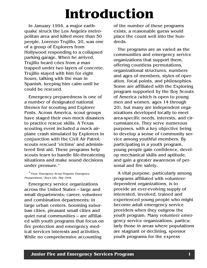### **Introduction**

In January 1994, a major earthquake struck the Los Angeles metropolitan area and killed more than 50 people. Lorenzo Trujillo, 20, was one of a group of Explorers from Hollywood responding to a collapsed parking garage. When he arrived, Trujillo heard cries from a man trapped under two layers of concrete. Trujillo stayed with him for eight hours, talking with the man in Spanish, keeping him calm until he could be rescued.

Emergency preparedness is one of a number of designated national themes for scouting and Explorer Posts. Across America, scout groups have staged their own mock disasters to practice rescue skills. A Texas scouting event included a mock airplane crash simulated by Explorers in conjunction with the Civil Air Patrol; scouts rescued "victims" and administered first aid. These programs help scouts learn to handle life-threatening situations and make sound decisions under pressure.\*

#### \*From "Emergency Scout Program: Emergency Preparedness," Boy's Life, May 1994.

Emergency service organizations across the United States – large and small departments; career, volunteer and combination departments; in large urban centers, booming suburban cities, pleasant small cities and quiet rural communities – are affiliated with youth programs that focus on fire protection and emergency medical services interests and activities. While no comprehensive accounting

of the number of these programs exists, a reasonable guess would place the count well into the hundreds.

The programs are as varied as the communities and emergency service organizations that support them, offering countless permutations, organizational structures, numbers and ages of members, styles of operation, focal points, and philosophies. Some are affiliated with the Exploring program supported by the Boy Scouts of America (which is open to young men and women, ages 14 through 20), but many are independent organizations developed locally to meet area-specific needs, interests, and circumstances. They serve numerous purposes, with a key objective being to develop a sense of community service among youthful members. By participating in a youth program, young people gain confidence, develop mechanical skills and aptitude, and gain a greater awareness of personal and fire safety.

A vital purpose, particularly among programs affiliated with volunteerdependent organizations, is to provide an ever-evolving supply of interested, involved, trained and experienced young people who might become adult emergency service providers when they outgrow the youth program. Many volunteer emergency service organizations, particularly those in areas where populations are stagnant or declining, sponsor youth programs for the express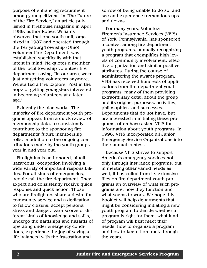purpose of enhancing recruitment among young citizens. In "The Future of the Fire Service," an article published in Firehouse magazine in April 1989, author Robert Williams observes that one youth unit, organized in 1987 and operated through the Perrysburg Township (Ohio) Volunteer Fire Department, was established specifically with that intent in mind. He quotes a member of the local township volunteer fire department saying, "In our area, we're just not getting volunteers anymore. We started a Fire Explorer Post in the hope of getting youngsters interested in becoming volunteers at a later age."

Evidently the plan works. The majority of fire department youth programs appear, from a quick review of membership data, to consistently contribute to the sponsoring fire departments' future membership rolls, in addition to the ongoing contributions made by the youth groups year in and year out.

Firefighting is an honored, albeit hazardous, occupation involving a wide variety of important responsibilities. For all kinds of emergencies, people call the fire department. They expect and consistently receive quick response and quick action. Those who are firefighters share a desire for community service and a dedication to fellow citizens, accept personal stress and danger, learn scores of different kinds of knowledge and skills, undergo the hardships and hazards of operating under emergency conditions, experience the joy of saving a life balanced with the frustration and

sorrow of being unable to do so, and see and experience tremendous ups and downs.

For many years, Volunteer Firemen's Insurance Services (VFIS) of York, Pennsylvania, has sponsored a contest among fire department youth programs, annually recognizing a program that exemplifies high levels of community involvement, effective organization and similar positive attributes. During the course of administering the awards program, VFIS has received hundreds of applications from fire department youth programs, many of them providing extraordinary detail about the group and its origins, purposes, activities, philosophies, and successes. Departments that do not have, but are interested in initiating these programs, often have asked VFIS for information about youth programs. In 1996, VFIS incorporated all Junior Emergency Service Organizations into their annual contest.

Because VFIS strives to support America's emergency services not only through insurance programs, but in meeting other varied needs as well, it has culled from its extensive files on fire department youth programs an overview of what such programs are, how they function and what seems to work. We hope this booklet will help departments that might be considering initiating a new youth program to decide whether a program is right for them, what kind of program will best meet their needs, how to organize a program and how to keep it on track through the years.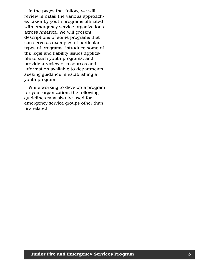In the pages that follow, we will review in detail the various approaches taken by youth programs affiliated with emergency service organizations across America. We will present descriptions of some programs that can serve as examples of particular types of programs, introduce some of the legal and liability issues applicable to such youth programs, and provide a review of resources and information available to departments seeking guidance in establishing a youth program.

While working to develop a program for your organization, the following guidelines may also be used for emergency service groups other than fire related.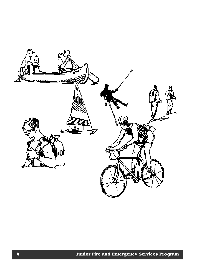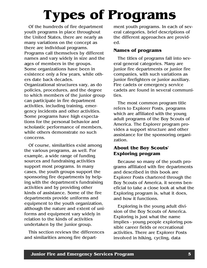# **Types of Programs**

Of the hundreds of fire department youth programs in place throughout the United States, there are nearly as many variations on the concept as there are individual programs. Programs call themselves by different names and vary widely in size and the ages of members in the groups. Some organizations have been in existence only a few years, while others date back decades.

Organizational structures vary, as do policies, procedures, and the degree to which members of the junior group can participate in fire department activities, including training, emergency incidents and other activities. Some programs have high expectations for the personal behavior and scholastic performance of members, while others demonstrate no such concerns.

Of course, similarities exist among the various programs, as well. For example, a wide range of funding sources and fundraising activities support most programs. In many cases, the youth groups support the sponsoring fire departments by helping with the department's fundraising activities and by providing other kinds of assistance. Some of the fire departments provide uniforms and equipment to the youth organization, although the nature and extent of uniforms and equipment vary widely in relation to the kinds of activities undertaken by the junior group.

This section reviews the differences and similarities among fire depart-

ment youth programs. In each of several categories, brief descriptions of the different approaches are provided.

#### **Names of programs**

The titles of programs fall into several general categories. Many are junior fire departments or junior fire companies, with such variations as junior firefighters or junior auxiliary. Fire cadets or emergency service cadets are found in several communities.

The most common program title refers to Explorer Posts, programs which are affiliated with the young adult programs of the Boy Scouts of America. The Explorer program provides a support structure and other assistance for the sponsoring organization.

#### **About the Boy Scouts' Exploring program**

Because so many of the youth programs affiliated with fire departments and described in this book are Explorer Posts chartered through the Boy Scouts of America, it seems beneficial to take a close look at what the Exploring program is, what it does, and how it functions.

Exploring is the young adult division of the Boy Scouts of America. Exploring is just what the name implies - young people exploring possible career fields or recreational activities. There are Explorer Posts involved in hiking, cycling, data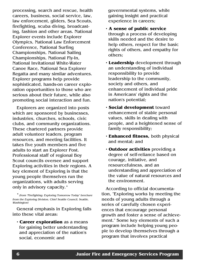processing, search and rescue, health careers, business, social service, law, law enforcement, gliders, Sea Scouts, firefighting, scuba diving, broadcasting, fashion and other areas. National Explorer events include Explorer Olympics, National Law Enforcement Conference, National Surfing Championships, National Sailing Championships, National Fly-In, National Invitational White-Water Canoe Race, National Sea Explorer Regatta and many similar adventures. Explorer programs help provide sophisticated, hands-on career exploration opportunities to those who are serious about their future, while also promoting social interaction and fun.

Explorers are organized into posts which are sponsored by businesses, industries, churches, schools, civic clubs, and community organizations. These chartered partners provide adult volunteer leaders, program resources, and meeting facilities. It takes five youth members and five adults to start an Explorer Post. Professional staff of regional Boy Scout councils oversee and support Exploring activities in their regions. A key element of Exploring is that the young people themselves run the organizations, with adults serving only in advisory capacity.\*

General emphasis in Exploring falls into these vital areas:

• **Career exploration** as a means for gaining better understanding and appreciation of the nation's social, economic and

governmental systems, while gaining insight and practical experience in careers;

- **A sense of public service**  through a process of developing skills needed and the desire to help others, respect for the basic rights of others, and empathy for others;
- **Leadership** development through an understanding of individual responsibility to provide leadership to the community, society and others, and enhancement of individual pride in Americans' rights and the nation's potential;
- **Social development** toward enhancement of stable personal values, skills in dealing with people, and a heightened sense of family responsibility;
- **Enhanced fitness,** both physical and mental; and
- **Outdoor activities** providing a degree of self-reliance based on courage, initiative, and resourcefulness, and an understanding and appreciation of the value of natural resources and the environment.

According to official documentation, "Exploring works by meeting the needs of young adults through a series of carefully chosen experiences that encourage personal growth and foster a sense of achievement." Some key elements of such a program include helping young people to develop themselves through a program that involves practical

<sup>\*</sup>(from "Firefighting: Exploring Tomorrow Today" brochure from the Exploring Division, Chief Seattle Council, Seattle, Washington)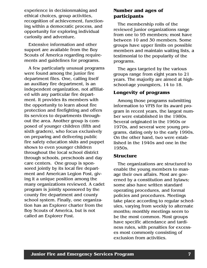experience in decisionmaking and ethical choices, group activities, recognition of achievement, functioning within a democratic process, and opportunity for exploring individual curiosity and adventure.

Extensive information and other support are available from the Boy Scouts of America regarding requirements and guidelines for programs.

A few particularly unusual programs were found among the junior fire department files. One, calling itself an auxiliary fire department, is an independent organization, not affiliated with any particular fire department. It provides its members with the opportunity to learn about fire protection and firefighting and offers its services to departments throughout the area. Another group is composed of younger children (fifth and sixth graders), who focus exclusively on preparing and delivering public fire safety education skits and puppet shows to even younger children throughout the local school district through schools, preschools and day care centers. One group is sponsored jointly by its local fire department and American Legion Post, giving it a unique position among the many organizations reviewed. A cadet program is jointly sponsored by the county fire department and county school system. Finally, one organization has an Explorer charter from the Boy Scouts of America, but is not called an Explorer Post.

#### **Number and ages of participants**

The membership rolls of the reviewed junior organizations range from one to 95 members; most have between 10 and 30 members. Some groups have upper limits on possible members and maintain waiting lists, a testimonial to the popularity of the programs.

The ages targeted by the various groups range from eight years to 21 years. The majority are aimed at highschool-age youngsters, 14 to 18.

#### **Longevity of programs**

Among those programs submitting information to VFIS for its award program in recent years, the largest number were established in the 1980s. Several originated in the 1960s or 1970s, and several were young programs, dating only to the early 1990s. On the other hand, two were established in the 1940s and one in the 1950s.

#### **Structure**

The organizations are structured to enable the young members to manage their own affairs. Most are governed by a constitution and bylaws; some also have written standard operating procedures, and formal policies and procedures. Meetings take place according to regular schedules, varying from weekly to alternate months; monthly meetings seem to be the most common. Most groups have specific attendance and tardiness rules, with penalties for excesses most commonly consisting of exclusion from activities.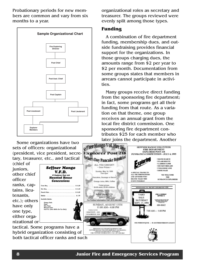Probationary periods for new members are common and vary from six months to a year.



organizational roles as secretary and treasurer. The groups reviewed were evenly split among those types.

#### **Funding**

A combination of fire department funding, membership dues, and outside fundraising provides financial support for the organizations. In those groups charging dues, the amounts range from \$2 per year to \$2 per month. Documentation from some groups states that members in arrears cannot participate in activities.

Many groups receive direct funding from the sponsoring fire department; in fact, some programs get all their funding from that route. As a variation on that theme, one group receives an annual grant from the local fire district commission. One sponsoring fire department contributes \$25 for each member who

Some organizations have two sets of officers: organizational (president, vice president, secretary, treasurer, etc., and tactical

(chief of juniors, other chief officer ranks, captains, lieutenants, etc.); others have only one type, either organizational or



hybrid organization consisting of both tactical officer ranks and such

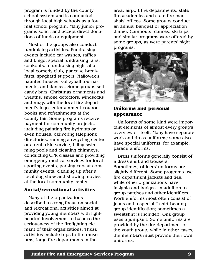program is funded by the county school system and is conducted through local high schools as a formal school program. Many junior programs solicit and accept direct donations of funds or equipment.

Most of the groups also conduct fundraising activities. Fundraising events include car washes, raffles and bingo, special fundraising fairs, cookouts, a fundraising night at a local comedy club, pancake breakfasts, spaghetti suppers, Halloween haunted houses, volleyball tournaments, and dances. Some groups sell candy bars, Christmas ornaments and wreaths, smoke detectors, windsocks and mugs with the local fire department's logo, entertainment coupon books and refreshments at the county fair. Some programs receive payment for community projects, including painting fire hydrants or even houses, delivering telephone directories, running a recycling center or a rent-a-kid service, filling swimming pools and cleaning chimneys, conducting CPR classes and providing emergency medical services for local sporting events, parking cars at community events, cleaning up after a local dog show and showing movies at the local community center.

#### **Social/recreational activities**

Many of the organizations described a strong focus on social and recreational activities aimed at providing young members with lighthearted involvement to balance the seriousness of the firefighting element of their organizations. These activities include trips to fire museums, large fire departments in the

area, airport fire departments, state fire academies and state fire marshals' offices. Some groups conduct an annual banquet or appreciation dinner. Campouts, dances, ski trips and similar programs were offered by some groups, as were parents' night programs.



#### **Uniforms and personal appearance**

Uniforms of some kind were important elements of almost every group's overview of itself. Many have separate work and dress uniforms; some also have special uniforms, for example, parade uniforms.

Dress uniforms generally consist of a dress shirt and trousers. Sometimes, officers' uniforms are slightly different. Some programs use fire department jackets and ties, while other organizations have insignia and badges, in addition to group patches and other identifiers. Work uniforms most often consist of jeans and a special T-shirt bearing group identification; sometimes a sweatshirt is included. One group uses a jumpsuit. Some uniforms are provided by the fire department or the youth group, while in other cases, the members must provide their own uniforms.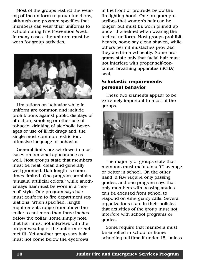Most of the groups restrict the wearing of the uniform to group functions, although one program specifies that members can wear their uniforms to school during Fire Prevention Week. In many cases, the uniform must be worn for group activities.



Limitations on behavior while in uniform are common and include prohibitions against public displays of affection, smoking or other use of tobacco, drinking of alcoholic beverages or use of illicit drugs and, the single most common restriction, offensive language or behavior.

General limits are set down in most cases on personal appearance as well. Most groups state that members must be neat, clean and generally well groomed. Hair length is sometimes limited. One program prohibits "unusual artificial colors," while another says hair must be worn in a "normal" style. One program says hair must conform to fire department regulations. When specified, length requirements range from above the collar to not more than three inches below the collar; some simply note that hair must not interfere with the proper wearing of the uniform or helmet fit. Yet another group says hair must not come below the eyebrows

in the front or protrude below the firefighting hood. One program prescribes that women's hair can be longer, but must be worn pinned up under the helmet when wearing the tactical uniform. Most groups prohibit beards; some say clean shaven, while others permit mustaches provided they are trimmed neatly. Some programs state only that facial hair must not interfere with proper self-contained breathing apparatus (SCBA) seal.

#### **Scholastic requirements personal behavior**

These two elements appear to be extremely important to most of the groups.



The majority of groups state that members must maintain a "C" average or better in school. On the other hand, a few require only passing grades, and one program says that only members with passing grades can be excused from school to respond on emergency calls. Several organizations state in their policies that activities of the group must not interfere with school programs or grades.

Some require that members must be enrolled in school or home schooling full-time if under 18, unless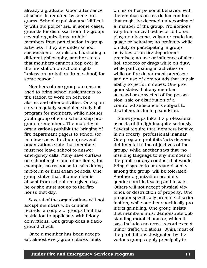already a graduate. Good attendance at school is required by some programs. School expulsion and "difficulty with the police" are, in some cases, grounds for dismissal from the group; several organizations prohibit members from participation in group activities if they are under school suspension or expulsion. Illustrating a different philosophy, another states that members cannot sleep over in the fire station on school nights "unless on probation [from school] for some reason."

Members of one group are encouraged to bring school assignments to the station to work on between alarms and other activities. One sponsors a regularly scheduled study hall program for members, while another youth group offers a scholarship program for members. The majority of organizations prohibit the bringing of fire department pagers to school (or, in a few cases, to church); several organizations state that members must not leave school to answer emergency calls. Many have curfews on school nights and other limits, for example, no response to calls during mid-term or final exam periods. One group states that, if a member is absent from school on a given day, he or she must not go to the firehouse that day.

Several of the organizations will not accept members with criminal records; a couple of groups limit that restriction to applicants with felony convictions. One group does a background check.

Once a member has been accepted, almost every group places limits

on his or her personal behavior, with the emphasis on restricting conduct that might be deemed unbecoming of a member of the group. Prohibitions vary from uncivil behavior to horseplay; no obscene, vulgar or crude language or behavior; no profanity while on duty or participating in group activities or on fire department premises; no use or influence of alcohol, tobacco or drugs while on duty, while participating in activities or while on fire department premises; and no use of compounds that impair ability to perform duties. One program states that any member accused or convicted of the possession, sale or distribution of a controlled substance is subject to discipline, including expulsion.

Some groups take the professional aspects of firefighting quite seriously. Several require that members behave in an orderly, professional manner. One program prohibits "acts deemed detrimental to the objectives of the group," while another says that "no insulting language to any member of the public or any conduct that would bring disgrace to or create disunity among the group" will be tolerated. Another organization prohibits gender-specific teasing and insults. Others will not accept physical violence or destruction of property. One program specifically prohibits discrimination, while another specifically prohibits gambling. One group insists that members must demonstrate outstanding moral character, which it says includes no arrest record except minor traffic violations. While most of the prohibitions designated by the various groups apply principally to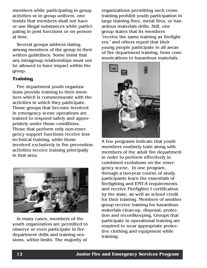members while participating in group activities or in group uniform, one insists that members shall not have or use illegal substances while participating in post functions or on personal time.

Several groups address dating among members of the group in their written guidelines. Some insist that any intragroup relationships must not be allowed to have impact within the group.

#### **Training**

Fire department youth organizations provide training to their members which is commensurate with the activities in which they participate. Those groups that become involved in emergency scene operations are trained to respond safely and appropriately under those conditions. Those that perform only non-emergency support functions receive less technical training, while those involved exclusively in fire prevention activities receive training principally in that area.



In many cases, members of the youth organization are permitted to observe or even participate in fire department drills and training sessions, within limits. The majority of

organizations permitting such crosstraining prohibit youth participation in large training fires, metal fires, or hazardous materials drills. Still, one group states that its members "receive the same training as firefighters," and others report that their young people participate in all areas of fire department training, from communications to hazardous materials.



A few programs indicate that youth members routinely train along with members of the adult fire department in order to perform effectively in combined evolutions on the emergency scene. In one program, through a two-year course of study, participants learn the essentials of firefighting and EMT-A requirements and receive Firefighter I certification by the state, as well as school credit for their training. Members of another group receive training for hazardous materials clean-up, disposal, protection and recordkeeping. Groups that participate in operational training are required to wear appropriate protective clothing and equipment while training.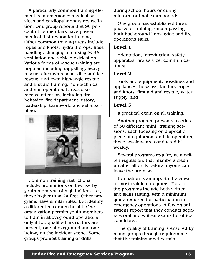A particularly common training element is in emergency medical services and cardiopulmonary resuscitation. One group reports that 90 percent of its members have passed medical first responder training. Other common training areas include ropes and knots, hydrant drops, hose handling, changing and using SCBA, ventilation and vehicle extrication. Various forms of rescue training are popular, including rappelling, heavy rescue, air-crash rescue, dive and ice rescue, and even high-angle rescue and first aid training. Non-technical and non-operational areas also receive attention, including fire behavior, fire department history, leadership, teamwork, and self-discipline.



Common training restrictions include prohibitions on the use by youth members of high ladders, i.e., those higher than 24 feet. Other programs have similar rules, but identify a different maximum height. One organization permits youth members to train in aboveground operations only if two qualified instructors are present, one aboveground and one below, on the incident scene. Some groups prohibit training or drills

during school hours or during midterm or final exam periods.

One group has established three phases of training, encompassing both background knowledge and fire operations skills:

#### **Level 1**

orientation, introduction, safety, apparatus, fire service, communications;

#### **Level 2**

tools and equipment, hoselines and appliances, hoselays, ladders, ropes and knots, first aid and rescue, water supply; and

#### **Level 3**

a practical exam on all training.

Another program presents a series of 50 different "mini" 'training sessions, each focusing on a specific piece of equipment and its operation; these sessions are conducted biweekly.

Several programs require, as a written regulation, that members clean up after all drills before anyone can leave the premises.

Evaluation is an important element of most training programs. Most of the programs include both written and skills testing, with a minimum grade required for participation in emergency operations. A few organizations report that they conduct separate oral and written exams for officer candidates.

The quality of training is ensured by many groups through requirements that the training meet certain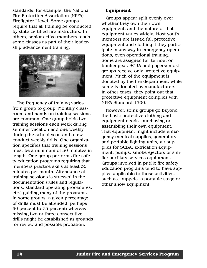standards, for example, the National Fire Protection Association (NFPA) Firefighter I level. Some groups require that all training be conducted by state certified fire instructors. In others, senior active members teach some classes as part of their leadership advancement training.



The frequency of training varies from group to group. Monthly classroom and hands-on training sessions are common. One group holds two training sessions each week during summer vacation and one weekly during the school year, and a few conduct weekly drills. One organization specifies that training sessions must be a minimum of 30 minutes in length. One group performs fire safety education programs requiring that members practice skills at least 30 minutes per month. Attendance at training sessions is stressed in the documentation (rules and regulations, standard operating procedures, etc.) guiding many of the programs. In some groups, a given percentage of drills must be attended, perhaps 60 percent to 75 percent; whereas missing two or three consecutive drills might be established as grounds for review and possible probation.

#### **Equipment**

Groups appear split evenly over whether they own their own equipment, and the nature of that equipment varies widely. Most youth members are issued full protective equipment and clothing if they participate in any way in emergency operations, even operational training. Some are assigned full turnout or bunker gear, SCBA and pagers; most groups receive only protective equipment. Much of the equipment is donated by the fire department, while some is donated by manufacturers. In other cases, they point out that protective equipment complies with NFPA Standard 1500.

However, some groups go beyond the basic protective clothing and equipment needs, purchasing or assembling their own equipment. That equipment might include emergency medical supplies, generators and portable lighting units, air supplies for SCBA, extrication equipment, pumps, smoke ejectors or similar ancillary services equipment. Groups involved in public fire safety education programs tend to have supplies applicable to those activities, such as, puppets, a portable stage or other show equipment.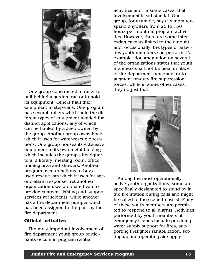

One group constructed a trailer to pull behind a garden tractor to hold its equipment. Others haul their equipment in step-vans. One program has several trailers which hold the different types of equipment needed for distinct applications, any of which can be hauled by a Jeep owned by the group. Another group owns boats which it uses for water-rescue operations. One group houses its extensive equipment in its own metal building which includes the group's headquarters, a library, meeting room, office, training area and showers. Another program used donations to buy a used rescue van which it uses for second-alarm response. Yet another organization uses a donated van to provide canteen, lighting and support services at incidents, while another has a fire department pumper which has been assigned to the post by the fire department.

#### **Official activities**

The most important involvement of fire department youth group participants occurs in program-related

activities and, in some cases, that involvement is substantial. One group, for example, says its members spend anywhere from 20 to 150 hours per month in program activities. However, there are some interesting caveats linked to the amount and, occasionally, the types of activities youth members can perform. For example, documentation on several of the organizations states that youth members shall not be used in place of fire department personnel or to augment on-duty fire suppression forces, while in some other cases, they do just that.



Among the most operationally active youth organizations, some are specifically designated to stand by in the fire station during calls and might be called to the scene to assist. Many of these youth members are permitted to respond to all alarms. Activities performed by youth members at emergency scenes include providing water supply support for fires, supporting firefighter rehabilitation, setting up and operating air supply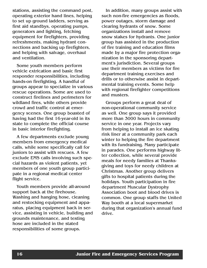stations, assisting the command post, operating exterior hand lines, helping to set up ground ladders, serving as first aid standbys, operating pumps, generators and lighting, fetching equipment for firefighters, providing refreshments, making hydrant connections and backing up firefighters, and helping with salvage, overhaul and ventilation.

Some youth members perform vehicle extrication and basic first responder responsibilities, including hands-on firefighting. A handful of groups appear to specialize in various rescue operations. Some are used to construct firelines and perimeters for wildland fires, while others provide crowd and traffic control at emergency scenes. One group boasted of having had the first 16-year-old in its state to complete the official course in basic interior firefighting.

A few departments exclude young members from emergency medical calls, while some specifically call for juniors to assist with rescues. A few exclude EMS calls involving such special hazards as violent patients, yet members of one youth group participate in a regional medical center flight service.

Youth members provide all-around support back at the firehouse. Washing and hanging hose, cleaning and restocking equipment and apparatus, placing equipment back in service, assisting in vehicle, building and grounds maintenance, and testing hose are included in the stated responsibilities of some groups.

In addition, many groups assist with such non-fire emergencies as floods, power outages, storm damage and clearing hydrants of snow. Some organizations install and remove snow stakes for hydrants. One junior group has assisted in the production of fire training and education films made by a major fire protection organization in the sponsoring department's jurisdiction. Several groups use their members as victims for fire department training exercises and drills or to otherwise assist in departmental training events. Some help with regional firefighter competitions and musters.

Groups perform a great deal of non-operational community service as well. One group says it provided more than 3000 hours in community service in one year. Projects vary from helping to install an ice skating rink liner at a community park each winter to helping the fire department with its fundraising. Many participate in parades. One performs highway litter collection, while several provide meals for needy families at Thanksgiving and toys for needy children at Christmas. Another group delivers gifts to hospital patients during the holidays. Youth participation in fire department Muscular Dystrophy Association boot and blood drives is common. One group staffs the United Way booth at a local supermarket during that organization's annual fund drive.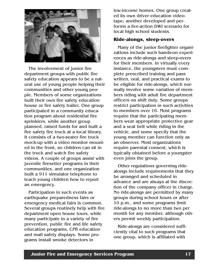

The involvement of junior fire department groups with public fire safety education appears to be a natural use of young people helping their communities and other young people. Members of some organizations built their own fire safety education house or fire safety trailer. One group participated in a community education program about residential fire sprinklers, while another group planned, raised funds for and built a fire safety fire truck at a local library. It consists of a two-seater fire truck mock-up with a video monitor mounted in the front, so children can sit in the truck and watch fire safety videos. A couple of groups assist with juvenile firesetter programs in their communities, and one organization built a 911 simulator telephone to teach young children how to report an emergency.

Participation in such events as earthquake preparedness fairs or emergency medical fairs is common. Several groups routinely help with fire department open house tours, while many participate in a variety of fire prevention, public fire and life safety education programs, CPR education and mall safety displays. Some programs install smoke detectors in

low-income homes. One group created its own driver education videotape; another developed and performs a live-action DWI scenario for local high school students.

#### **Ride-alongs, sleep-overs**

Many of the junior firefighter organizations include such hands-on experiences as ride-alongs and sleep-overs for their members. In virtually every instance, the youngsters must complete prescribed training and pass written, oral, and practical exams to be eligible for ride-alongs, which normally involve some variation of members riding with adult fire department officers on shift duty. Some groups restrict participation in such activities to members over 16. Most programs require that the participating members wear appropriate protective gear and a seat belt while riding in the vehicle, and some specify that the young member can function only as an observer. Most organizations require parental consent, which is typically obtained before a youngster even joins the group.

Other regulations governing ridealongs include requirements that they be arranged and scheduled in advance and are always at the discretion of the company officer in charge. No ride-alongs are permitted by many groups during school hours or after 10 p.m., and some programs limit ride-alongs to no more than two per month for any member, although others permit weekly participation.

Ride-alongs are considered sufficiently vital to such programs that one group, which is affiliated with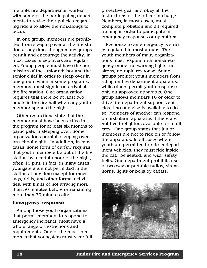multiple fire departments, worked with some of the participating departments to revise their policies regarding riders to allow the ride-alongs to occur.

In one group, members are prohibited from sleeping over at the fire station at any time, though many groups permit and encourage the activity. In most cases, sleep-overs are regulated. Young people must have the permission of the junior advisor and the senior chief in order to sleep over in one group, while in some programs, members must sign in on arrival at the fire station. One organization requires that there be at least two adults in the fire hall when any youth member spends the night.

Other restrictions state that the member must have been active in the program for at least six months to participate in sleeping over. Some organizations prohibit sleeping over on school nights. In addition, in most cases, some form of curfew requires that youth members be out of the fire station by a certain hour of the night, often 10 p.m. In fact, in many cases, youngsters are not permitted in the station at any time except for meetings, drills, and other formal activities, with limits of not arriving more than 30 minutes before or remaining more than 30 minutes after.

#### **Emergency response**

Among those youth organizations that permit members to respond to emergency incidents, most have a whole range of restrictions and requirements. One of the most common is that youngsters must wear full protective gear and obey all the instructions of the officer in charge. Members, in most cases, must complete probation and all required training in order to participate in emergency responses or operations.

Response to an emergency is strictly regulated in most groups. The youth members of many organizations must respond in a non-emergency mode: no warning lights, no sirens, no rapid response. Some groups prohibit youth members from riding on fire department apparatus, while others permit youth response only on approved apparatus. One group allows members 16 or older to drive fire department support vehicles if no one else is available to do so. Members of another can respond on first-alarm apparatus if there are not five firefighters available for a full crew. One group states that junior members are not to ride on or follow fire apparatus. In all cases where youth are permitted to ride in department vehicles, they must ride inside the cab, be seated, and wear safety belts. One department prohibits use of two-way or portable radios, sirens, horns, lights or bells by cadets.

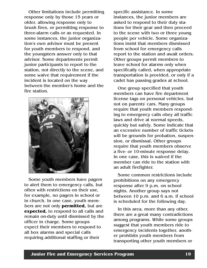Other limitations include permitting response only by those 15 years or older, allowing response only to brush fires, or permitting response to three-alarm calls or as requested. In some instances, the junior organization's own advisor must be present for youth members to respond, and the youngsters answer only to that advisor. Some departments permit junior participants to report to the station, not directly to the scene, and some waive that requirement if the incident is located on the way between the member's home and the fire station.



Some youth members have pagers to alert them to emergency calls, but often with restrictions on their use, for example, no pagers in school or in church. In one case, youth members are not only **permitted,** but are **expected,** to respond to all calls and remain on-duty until dismissed by the officer in charge. Some groups expect their members to respond to all box alarms and special calls requiring additional staffing or their

specific assistance. In some instances, the junior members are asked to respond to their duty stations for their gear and then proceed to the scene with two or three young people per vehicle. Some organizations insist that members dismissed from school for emergency calls report to the station and await orders. Other groups permit members to leave school for alarms only when specifically called, when appropriate transportation is provided, or only if a cadet has passing grades at school.

One group specified that youth members can have fire department license tags on personal vehicles, but not on parents' cars. Many groups require that youth members responding to emergency calls obey all traffic laws and drive at normal speeds, quickly but safely. Some indicate that an excessive number of traffic tickets will be grounds for probation, suspension, or dismissal. Other groups require that youth members observe a five- or 10-minute response delay. In one case, this is waived if the member can ride to the station with an adult firefighter.

Some common restrictions include prohibitions on any emergency response after 9 p.m. on school nights. Another group says not between 10 p.m. and 6 a.m. if school is scheduled for the following day.

In this area, more than any other, there are a great many contradictions among programs. While some groups suggest that youth members ride to emergency incidents together, another prohibits youth members from transporting other youth members or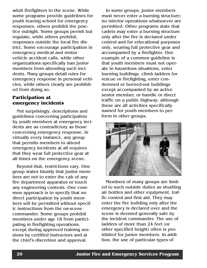adult firefighters to the scene. While some programs provide guidelines for youth leaving school for emergency responses, others prohibit the practice outright. Some groups permit but regulate, while others prohibit, responses outside the local fire district. Some encourage participation in emergency medical and motor vehicle accident calls, while other organizations specifically ban junior members from attending such incidents. Many groups detail rules for emergency response in personal vehicles, while others clearly are prohibited from doing so.

#### **Participation at emergency incidents**

Not surprisingly, descriptions and guidelines concerning participation by youth members at emergency incidents are as contradictory as those concerning emergency response. In virtually every instance, any group that permits members to attend emergency incidents at all requires that they wear full protective gear at all times on the emergency scene.

Beyond that, restrictions vary. One group states bluntly that junior members are not to enter the cab of any fire department apparatus or touch any engineering controls. One common approach is to specify that no direct participation by youth members will be permitted without specific instructions from the on-scene commander. Some groups prohibit members under age 18 from participating in firefighting operations, except during approved training sessions by certified instructors and at the chief's discretion and approval.

In some groups, junior members must never enter a burning structure; no interior operations whatsoever are permitted. Other programs state that cadets may enter a burning structure only after the fire is declared under control and for educational purposes only, wearing full protective gear and accompanied by a firefighter. One example of a common guideline is that youth members must not operate in hazardous situations, enter burning buildings, climb ladders for rescue or firefighting, enter condemned or burned-out buildings except accompanied by an active senior member, or handle or direct traffic on a public highway, although these are all activities specifically named for youth members to perform in other groups.



Members of many groups are limited to such outside duties as shuttling air bottles and other equipment, traffic control and first aid. They may enter the fire building only after the emergency is declared over and the scene is deemed generally safe by the incident commander. The use of ladders of more than 24 feet (or other specified height) often is prohibited for junior members. In addition, the use of particular types of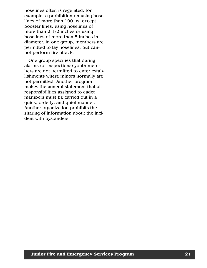hoselines often is regulated, for example, a prohibition on using hoselines of more than 100 psi except booster lines, using hoselines of more than 2 1/2 inches or using hoselines of more than 5 inches in diameter. In one group, members are permitted to lay hoselines, but cannot perform fire attack.

One group specifies that during alarms (or inspections) youth members are not permitted to enter establishments where minors normally are not permitted. Another program makes the general statement that all responsibilities assigned to cadet members must be carried out in a quick, orderly, and quiet manner. Another organization prohibits the sharing of information about the incident with bystanders.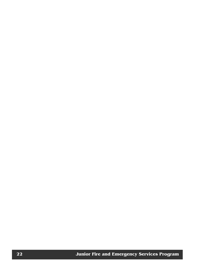**22 Junior Fire and Emergency Services Program**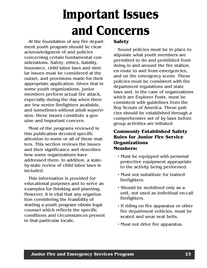## **Important Issues and Concerns**

At the foundation of any fire department youth program should lie clear acknowledgment of and policies concerning certain fundamental considerations. Safety, ethics, liability, insurance, child labor laws and similar issues must be considered at the outset, and provisions made for their appropriate application. Given that in some youth organizations, junior members perform actual fire attack, especially during the day when there are few senior firefighters available, and sometimes without adult supervision, these issues constitute a genuine and important concern.

Most of the programs reviewed in this publication devoted specific attention to some or all of these matters. This section reviews the issues and their significance and describes how some organizations have addressed them. In addition, a stateby-state review of child labor laws is included.

This information is provided for educational purposes and to serve as examples for thinking and planning. However, it is vital that any organization considering the feasibility of starting a youth program obtain legal counsel which reflects the specific conditions and circumstances present in that particular locale.

#### **Safety**

Sound policies must be in place to stipulate what youth members are permitted to do and prohibited from doing in and around the fire station, en route to and from emergencies, and on the emergency scene. These policies must be consistent with fire department regulations and state laws and, in the case of organizations which are Explorer Posts, must be consistent with guidelines from the Boy Scouts of America. These policies should be established through a comprehensive set of by laws before group activities are initiated.

#### **Commonly Established Safety Rules for Junior Fire Service Organizations Members:**

- Must be equipped with personal protective equipment appropriate to the activity being performed.
- Must not substitute for trained firefighters.
- Should be mobilized only as a unit, not used as individual on-call firefighters.
- If riding on fire apparatus or other fire department vehicles, must be seated and wear seat belts.
- Must not drive fire apparatus.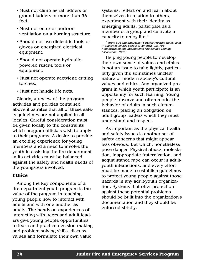- Must not climb aerial ladders or ground ladders of more than 35 feet.
- Must not enter or perform ventilation on a burning structure.
- Should not use dielectric tools or gloves on energized electrical equipment.
- Should not operate hydraulicpowered rescue tools or equipment.
- Must not operate acetylene cutting torches.
- Must not handle life nets.

Clearly, a review of the program activities and policies contained above illustrates that all of these safety guidelines are not applied in all locales. Careful consideration must be given locally to the constraints which program officials wish to apply to their programs. A desire to provide an exciting experience for young members and a need to involve the youth in assisting the fire department in its activities must be balanced against the safety and health needs of the youngsters involved.

#### **Ethics**

Among the key components of a fire department youth program is the value of the program in teaching young people how to interact with adults and with one another as adults. The hands-on experiences of interacting with peers and adult leaders give young people opportunities to learn and practice decision making and problem-solving skills, discuss values and formulate their own value

systems, reflect on and learn about themselves in relation to others, experiment with their identity as emerging adults, participate as a member of a group and cultivate a capacity to enjoy life.\*

\*(from Fire and Emergency Services Program Helps, jointly published by Boy Scouts of America, U.S. Fire Administration and International Fire Service Training Association, 1993)

Helping young people to develop their own sense of values and ethics is not an issue to take lightly, particularly given the sometimes unclear nature of modern society's cultural values and ethics. Any organized program in which youth participate is an opportunity for such learning. Young people observe and often model the behavior of adults in such circumstances, placing an obligation on adult group leaders which they must understand and respect.

As important as the physical health and safety issues is another set of safety concerns that might appear less obvious, but which, nonetheless, pose danger. Physical abuse, molestation, inappropriate fraternization, and acquaintance rape can occur in adultyouth interactions, and every effort must be made to establish guidelines to protect young people against those hazards in any adult-youth organization. Systems that offer protection against these potential problems should be built into the organization's documentation and they should be enforced strictly.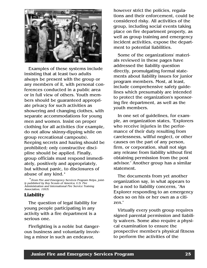

Examples of these systems include insisting that at least two adults always be present with the group or any members of it, with personal conferences conducted in a public area or in full view of others. Youth members should be guaranteed appropriate privacy for such activities as showering and changing clothes, with separate accommodations for young men and women. Insist on proper clothing for all activities (for example, do not allow skinny-dipping while on group recreational campouts). Keeping secrets and hazing should be prohibited; only constructive discipline should be applied. Finally, group officials must respond immediately, positively and appropriately, but without panic, to disclosures of abuse of any kind.\*

\*(from Fire and Emergency Services Program Helps, jointly published by Boy Scouts of America, U.S. Fire Administration and International Fire Service Training Association, 1993)

#### **Liability**

The question of legal liability for young people participating in any activity with a fire department is a serious one.

Firefighting is a noble but dangerous business and voluntarily involving a minor in such an endeavor,

however strict the policies, regulations and their enforcement, could be considered risky. All activities of the group, including social events taking place on fire department property, as well as group training and emergency incident activities, expose the department to potential liabilities.

Some of the organizations' materials reviewed in these pages have addressed the liability question directly, promulgating formal statements about liability issues for junior program members. Most, at least, include comprehensive safety guidelines which presumably are intended to protect the organization's sponsoring fire department, as well as the youth members.

In one set of guidelines, for example, an organization states, "Explorers who receive injuries in the performance of their duty resulting from carelessness, willful neglect, or other causes on the part of any person, firm, or corporation, shall not sign any release from liability without first obtaining permission from the post advisor." Another group has a similar statement.

The documents from yet another organization say, in what appears to be a nod to liability concerns, "An Explorer responding to an emergency does so on his or her own as a citizen."

Virtually every youth group requires signed parental permission and liability waivers. Some also require a physical examination to ensure the prospective member's physical fitness to perform the activities of the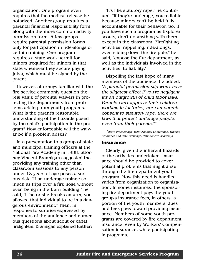organization. One program even requires that the medical release be notarized. Another group requires a parental financial responsibility form, along with the more common activity permission form. A few groups require parental permission forms only for participation in ride-alongs or certain training. One program requires a state work permit for minors (required for minors in that state whenever they secure paying jobs), which must be signed by the parent.

However, attorneys familiar with the fire service commonly question the real value of parental waivers in protecting fire departments from problems arising from youth programs. What is the parent's reasonable understanding of the hazards posed by the child's participation in the program? How enforceable will the waiver be if a problem arises?

In a presentation to a group of state and municipal training officers at the National Fire Academy in 1988, attorney Vincent Brannigan suggested that providing any training other than classroom sessions to any person under 18 years of age poses a serious risk. "If an underage trainee so much as trips over a fire hose without even being in the burn building," he said, "if he or she breaks an arm, you allowed that individual to be in a dangerous environment." Then, in response to surprise expressed by members of the audience and numerous questions about scout or cadet firefighters, Brannigan explained further:

"It's like statutory rape," he continued. "If they're underage, you're liable because minors can't be held fully accountable for their behavior. So, if you have such a program as Explorer scouts, don't do anything with them except in the classroom. Firefighting activities, rappelling, ride-alongs, even sliding down the fire pole," he said, "expose the fire department, as well as the individuals involved in the activities, to liability."

Dispelling the last hope of many members of the audience, he added, "A parental permission slip won't have the slightest effect if you're negligent. It's an outgrowth of child labor laws. Parents can't approve their children working in factories, nor can parents consent to statutory rape; there are laws that protect underage people, even from their parents."\*

\*(from Proceedings: 1988 National Conference, Training Resources and Data Exchange, National Fire Academy)

#### **Insurance**

Clearly, given the inherent hazards of the activities undertaken, insurance should be provided to cover potential problems that might arise through the fire department youth program. How this need is handled varies from organization to organization. In some instances, the sponsoring fire department pays the youth group's insurance fees; in others, a portion of the youth members' dues and fees goes toward providing insurance. Members of some youth programs are covered by fire department insurance, even by Workers' Compensation insurance, while participating in programs.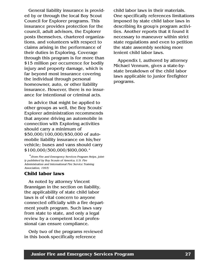General liability insurance is provided by or through the local Boy Scout Council for Explorer programs. This insurance provides protection for the council, adult advisors, the Explorer posts themselves, chartered organizations, and volunteers with respect to claims arising in the performance of their duties in Exploring. Coverage through this program is for more than \$15 million per occurrence for bodily injury and property damage, which is far beyond most insurance covering the individual through personal homeowner, auto, or other liability insurance. However, there is no insurance for intentional or criminal acts.

In advice that might be applied to other groups as well, the Boy Scouts' Explorer administration recommends that anyone driving an automobile in connection with Exploring activities should carry a minimum of \$50,000/100,000/\$50,000 of automobile liability insurance on his/her vehicle; buses and vans should carry \$100,000/300,000/\$l00,000.\*

\*(from Fire and Emergency Services Program Helps, jointly published by Boy Scouts of America, U.S. Fire Administration and International Fire Service Training Association, 1993)

#### **Child labor laws**

As noted by attorney Vincent Brannigan in the section on liability, the applicability of state child labor laws is of vital concern to anyone connected officially with a fire department youth program. Such laws vary from state to state, and only a legal review by a competent local professional can ensure compliance.

Only two of the programs reviewed in this book specifically reference

child labor laws in their materials. One specifically references limitations imposed by state child labor laws in describing its group's program activities. Another reports that it found it necessary to maneuver within strict state regulations and even to petition the state assembly seeking more lenient child labor laws.

Appendix I, authored by attorney Michael Vennum, gives a state-bystate breakdown of the child labor laws applicable to junior firefighter programs.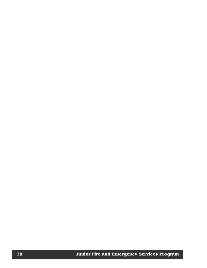**28 Junior Fire and Emergency Services Program**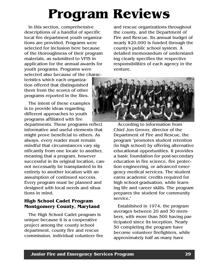### **Program Reviews**

In this section, comprehensive descriptions of a handful of specific local fire department youth organizations are provided. Programs were selected for inclusion here because of the thoroughness of their program materials, as submitted to VFIS in application for the annual awards for youth programs. Programs were selected also because of the charac-

teristics which each organization offered that distinguished them from the scores of other programs reported in the files.

The intent of these examples is to provide ideas regarding different approaches to youth programs affiliated with fire

departments. These programs reflect informative and useful elements that might prove beneficial to others. As always, every reader must remain mindful that circumstances vary significantly from one locale to another, meaning that a program, however successful in its original location, cannot necessarily be transplanted in its entirety to another location with an assumption of continued success. Every program must be planned and designed with local needs and situations in mind.

#### **High School Cadet Program Montgomery County, Maryland**

The High School Cadet program is unique because it is a cooperative project among the county school department, county fire and rescue commission, individual volunteer fire

and rescue organizations throughout the county, and the Department of Fire and Rescue. Its annual budget of nearly \$20,000 is funded through the county's public school system. A detailed memorandum of understanding clearly specifies the respective responsibilities of each agency in the venture.



According to information from Chief Jon Grover, director of the Department of Fire and Rescue, the program "promotes student retention [in high school] by offering alternative educational opportunities. It provides a basic foundation for post-secondary education in fire science, fire protection engineering, or advanced emergency medical services. The student earns academic credits required for high school graduation, while learning life and career skills. The program prepares the student for community service."

Established in 1974, the program averages between 20 and 30 members, with more than 500 having participated since its inception. Nearly 50 completing the program have become volunteer firefighters, while approximately half as many have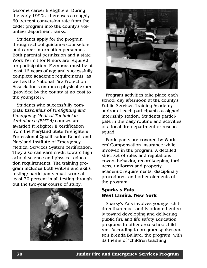become career firefighters. During the early 1990s, there was a roughly 60 percent conversion rate from the cadet program into the county's volunteer department ranks.

Students apply for the program through school guidance counselors and career information personnel. Both parental permission and a state Work Permit for Minors are required for participation. Members must be at least 16 years of age and successfully complete academic requirements, as well as the National Fire Protection Association's entrance physical exam (provided by the county at no cost to the youngster).

Students who successfully complete Essentials of Firefighting and Emergency Medical Technician-Ambulance (EMT-A) courses are awarded Firefighter II certification from the Maryland State Firefighters Professional Qualification Board, and Maryland Institute of Emergency Medical Services System certification. They also can earn credit toward high school science and physical education requirements. The training program includes both written and skills testing; participants must score at least 70 percent in all testing throughout the two-year course of study.





Program activities take place each school day afternoon at the county's Public Services Training Academy and/or at each participant's assigned internship station. Students participate in the daily routine and activities of a local fire department or rescue squad.

Participants are covered by Workers' Compensation insurance while involved in the program. A detailed, strict set of rules and regulations covers behavior, recordkeeping, tardiness, uniforms and property, academic requirements, disciplinary procedures, and other elements of the program.

#### **Sparky's Pals West Elmira, New York**

Sparky's Pals involves younger children than most and is oriented entirely toward developing and delivering public fire and life safety education programs to other area schoolchildren. According to program spokesperson Brenda Ballard, the program, with its theme of "children teaching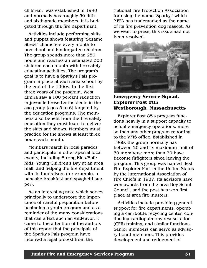children," was established in 1990 and normally has roughly 30 fifthand sixth-grade members. It is budgeted through the fire department.

Activities include performing skits and puppet shows featuring "Sesame Street" characters every month to preschool and kindergarten children. The group spends more than 250 hours and reaches an estimated 300 children each month with fire safety education activities. The program's goal is to have a Sparky's Pals program in place at each area school by the end of the 1990s. In the first three years of the program, West Elmira saw a 100 percent reduction in juvenile firesetter incidents in the age group (ages 3 to 6) targeted by the education programs. The members also benefit from the fire safety education they must learn to deliver the skits and shows. Members must practice for the shows at least three hours each month.

Members march in local parades and participate in other special local events, including Strong Kids/Safe Kids, Young Children's Day at an area mall, and helping the fire department with its fundraisers (for example, a pancake breakfast and spaghetti supper).

As an interesting note which serves principally to underscore the importance of careful preparation before beginning a youth program and as a reminder of the many considerations that can affect such an endeavor, it came to the attention of the authors of this report that the principals of the Sparky's Pals program have incurred a legal protest from the

National Fire Protection Association for using the name "Sparky," which NFPA has trademarked as the name of its fire prevention dog mascot. As we went to press, this issue had not been resolved.



#### **Emergency Service Squad, Explorer Post #85 Westborough, Massachusetts**

Explorer Post 85's program functions heavily in a support capacity to actual emergency operations, more so than any other program reporting to the VFIS office. Established in 1969, the group normally has between 20 and its maximum limit of 30 members; more than 20 have become firfighters since leaving the program. This group was named Best Fire Explorer Post in the United States by the International Association of Fire Chiefs in 1987. Its advisors have won awards from the area Boy Scout Council, and the post has won first place at area fire musters.

Activities include providing general support for fire departments, operating a can/bottle recycling center, conducting cardiopulmony resuscitation (CPR) training, and similar functions. Senior members can serve as advisory board members. This provides development and refinement of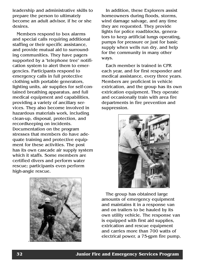leadership and administrative skills to prepare the person to ultimately become an adult advisor, if he or she desires.

Members respond to box alarms and special calls requiring additional staffing or their specific assistance, and provide mutual aid to surrounding communities. They have pagers supported by a "telephone tree" notification system to alert them to emergencies. Participants respond to emergency calls in full protective clothing with portable generators, lighting units, air supplies for self-contained breathing apparatus, and full medical equipment and capabilities, providing a variety of ancillary services. They also become involved in hazardous materials work, including clean-up, disposal, protection, and recordkeeping on incidents. Documentation on the program stresses that members do have adequate training and protective equipment for these activities. The post has its own cascade air supply system which it staffs. Some members are certified divers and perform water rescue; participants even perform high-angle rescue.



In addition, these Explorers assist homeowners during floods, storms, wind damage salvage, and any time they are requested. They provide lights for police roadblocks, generators to keep artificial lungs operating, pumps for pressure or just for basic supply when wells run dry, and help for the community in many other ways.

Each member is trained in CPR each year, and for first responder and medical assistance, every three years. Members are proficient in vehicle extrication, and the group has its own extrication equipment. They operate and occasionally train with area fire departments in fire prevention and suppression.



The group has obtained large amounts of emergency equipment and maintains it in a response van and on trailers to be hauled by its own utility vehicle. The response van is equipped with first aid supplies, extrication and rescue equipment and carries more than 700 watts of electrical power, a 75-gpm fire pump,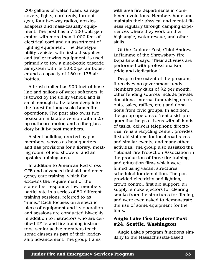200 gallons of water, foam, salvage covers, lights, cord reels, turnout gear, four two-way radios, nozzles, adapters and mass-casualty equipment. The post has a 7,500-watt generator, with more than 1,000 feet of electrical cord and an assortment of lighting equipment. The Jeep-type utility vehicle, with first aid supplies and trailer towing equipment, is used primarily to tow a nine-bottle cascade air system with its 5,000-psi air booster and a capacity of 150 to 175 air bottles.

A brush trailer has 900 feet of hoseline and gallons of water softeners; it is towed by the utility vehicle and is small enough to be taken deep into the forest for large-scale brush fire operations. The post also owns two boats: an inflatable version with a 25 hp outboard motor, and a fiberglass dory built by post members.

A steel building, erected by post members, serves as headquarters and has provisions for a library, meeting room, office, showers, and an upstairs training area.

In addition to American Red Cross CPR and advanced first aid and emergency care training, which far exceeds the requirement of the state's first responder law, members participate in a series of 50 different training sessions, referred to as "minis." Each focuses on a specific piece of equipment and its operation and sessions are conducted biweekly. In addition to instructors who are certified EMTs and fire training instructors, senior active members teach some classes as part of their leadership advancement. The group trains

with area fire departments in combined evolutions. Members hone and maintain their physical and mental fitness regularly through camping experiences where they work on their high-angle, water rescue, and other skills.

Of the Explorer Post, Chief Andrew LaFlamme of the Shrewsbury Fire Department says, "Their activities are performed with professionalism, pride and dedication."

Despite the extent of the program, it receives no government funds. Members pay dues of \$2 per month; other funding sources include private donations, internal fundraising (cookouts, sales, raffles, etc.) and donations from civic groups. In addition, the group operates a "rent-a-kid" program that helps citizens with all kinds of tasks, delivers telephone directories, runs a recycling center, provides first aid stations for local road races and similar events, and many other activities. The group also assisted the National Fire Protection Association in the production of three fire training and education films which were filmed using vacant structures scheduled for demolition. The post provided electricity and lighting, crowd control, first aid support, air supply, smoke ejectors for clearing smoke from the structures for filming, and were even asked to demonstrate the use of some equipment for the films.

## **Angle Lake Fire Explorer Post #24, Seattle, Washington**

Angle Lake's program functions similarly to the Massachusetts-based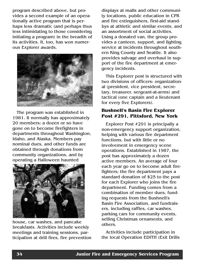program described above, but provides a second example of an operationally active program that is perhaps less dramatic (and perhaps thus less intimidating to those considering initiating a program) in the breadth of its activities. It, too, has won numerous Explorer awards.



The program was established in 1981. It normally has approximately 20 members; a dozen or so have gone on to become firefighters in departments throughout Washington, Idaho, and Alaska. Members pay nominal dues, and other funds are obtained through donations from community organizations, and by operating a Halloween haunted



house, car washes, and pancake breakfasts. Activities include weekly meetings and training sessions, participation at drill fires, fire prevention displays at malls and other community locations, public education in CPR and fire extinguishers, first-aid standbys at athletic and similar events, and an assortment of social activities. Using a donated van, the group provides a canteen, support, and lighting service at incidents throughout southern King County and Seattle. It also provides salvage and overhaul in support of the fire department at emergency incidents.

This Explorer post is structured with two divisions of officers: organizational (president, vice president, secretary, treasurer, sergeant-at-arms) and tactical (one captain and a lieutenant for every five Explorers).

### **Bushnell's Basin Fire Explorer Post #291, Pittsford, New York**

Explorer Post #291 is principally a non-emergency support organization, helping with various fire department functions, but with little or no involvement in emergency scene operations. Established in 1987, the post has approximately a dozen active members. An average of four each year go on to become adult firefighters; the fire department pays a standard donation of \$25 to the post for each Explorer who joins the fire department. Funding comes from a combination of member dues, funding requests from the Bushnell's Basin Fire Association, and fundraisers, including raffles, car washes, parking cars for community events, selling Christmas ornaments, and others.

Activities include participation in the local Operation EDITH (Exit Drills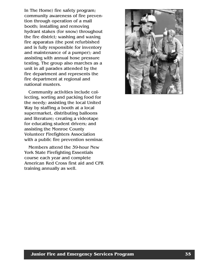In The Home) fire safety program; community awareness of fire prevention through operation of a mall booth; installing and removing hydrant stakes (for snow) throughout the fire district; washing and waxing fire apparatus (the post refurbished and is fully responsible for inventory and maintenance of a pumper); and assisting with annual hose pressure testing. The group also marches as a unit in all parades attended by the fire department and represents the fire department at regional and national musters.

Community activities include collecting, sorting and packing food for the needy; assisting the local United Way by staffing a booth at a local supermarket, distributing balloons and literature; creating a videotape for educating student drivers; and assisting the Monroe County Volunteer Firefighters Association with a public fire prevention seminar.

Members attend the 39-hour New York State Firefighting Essentials course each year and complete American Red Cross first aid and CPR training annually as well.

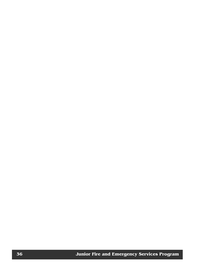**36 Junior Fire and Emergency Services Program**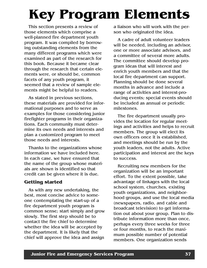# **Key Program Elements**

This section presents a review of those elements which comprise a well-planned fire department youth program. It was compiled by borrowing outstanding elements from the many different programs which were examined as part of the research for this book. Because it became clear through the research that certain elements were, or should be, common facets of any youth program, it seemed that a review of sample elements might be helpful to readers.

As stated in previous sections, these materials are provided for informational purposes and to serve as examples for those considering junior firefighter programs in their organizations. Each community must determine its own needs and interests and plan a customized program to meet those needs and interests.

Thanks to the organizations whose information we have included here. In each case, we have ensured that the name of the group whose materials are shown is identified so that credit can be given where it is due.

## **Getting started**

As with any new undertaking, the best, most concise advice to someone contemplating the start-up of a fire department youth program is common sense; start simply and grow slowly. The first step should be to contact the fire chief to determine whether the idea will be accepted by the department. It is likely that the chief will approve the idea and assign

a liaison who will work with the person who originated the idea.

A cadre of adult volunteer leaders will be needed, including an advisor, one or more associate advisors, and a committee of several more adults. The committee should develop program ideas that will interest and enrich youth members and that the local fire department can support. Planning should be done several months in advance and include a range of activities and interest-producing events; special events should be included as annual or periodic milestones.

The fire department usually provides the location for regular meetings and activities and helps to recruit members. The group will elect its own officers once it is established, and meetings should be run by the youth leaders, not the adults. Active participation and interest are the keys to success.

Recruiting new members for the organization will be an important effort. To the extent possible, take advantage of linkages with the local school system, churches, existing youth organizations, and neighborhood groups, and use the local media (newspapers, radio, and cable and broadcast television) to get information out about your group. Plan to distribute information more than once, perhaps every three weeks for three or four months, to reach the maximum possible number of potential members. One organization sends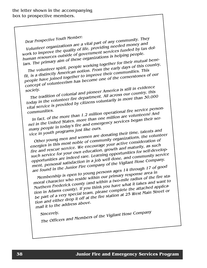Dear Prospective Youth Member: Volunteer organizations are a vital part of any community. They work to improve the quality of life, providing needed money and human resources outside of government services funded by tax dollars. The primary aim of these organizations is helping people. The volunteer spirit, people working together for their mutual benefit, is a distinctly American notion. From the early days of this country, people have joined together to improve their communities. This concept of volunteerism has become one of the cornerstones of our society.

The tradition of colonial and pioneer America is still in evidence today in the volunteer fire department. All across our country, this vital service is provided by citizens voluntarily in more than 30,000

communities. In fact, of the more than 1.2 million operational fire service personnel in the United States, more than one million are volunteers! And many people in today's fire and emergency services began their ser-

vice in youth programs just like ours. Other young men and women are donating their time, talents an<sup>d</sup> energies in this most noble of community organizations, the volunteer fire and rescue service. We encourage your active consideration of such service for your own education, growth and maturity, as such opportunities are indeed rare. Learning opportunities for self-development, personal satisfaction in a job well done, and community service are found in the Junior Fire company of the Vigilant Hose Company.

Membership is open to young persons ages 14 through 17 of goo<sup>d</sup> moral character who reside within our primary response area in Northern Frederick county (and within a two-mile radius of the fire station in Adams county). If you think you have what it takes and want to be part of a very special team, please complete the attached application and either drop it off at the fire station at 25 West Main Street or

mail it to the address above.

Sincerely,<br>The Officers and Members of the Vigilant Hose Company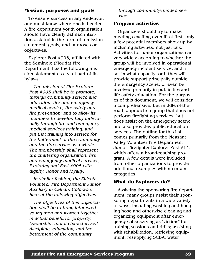## **Mission, purposes and goals**

To ensure success in any endeavor, one must know where one is headed. A fire department youth organization should have clearly defined intentions, stated in the form of a mission statement, goals, and purposes or objectives.

Explorer Post #905, affiliated with the Seminole (Florida) Fire Department, has the following mission statement as a vital part of its bylaws:

The mission of Fire Explorer Post #905 shall be to promote, through community service and education, fire and emergency medical service, fire safety and fire prevention; and to allow its members to develop fully individually through fire and emergency medical services training, and put that training into service for the betterment of the community and the fire service as a whole. The membership shall represent the chartering organization, fire and emergency medical services, Exploring and Post #905 with dignity, honor and loyalty.

In similar fashion, the Ellicott Volunteer Fire Department Junior Auxiliary in Calhan, Colorado, has set the following objectives:

The objectives of this organization shall be to bring interested young men and women together in actual benefit for property, leadership, moral character, selfdiscipline, education, and the betterment of the community

through community-minded service.

#### **Program activities**

Organizers should try to make meetings exciting even if, at first, only a few potential members show up by including activities, not just talk. Activities for junior organizations can vary widely according to whether the group will be involved in operational emergency incident service, and, if so, in what capacity, or if they will provide support principally outside the emergency scene, or even be involved primarily in public fire and life safety education. For the purposes of this document, we will consider a comprehensive, but middle-of-theroad, approach: a group that does not perform firefighting services, but does assist on the emergency scene and also provides public education services. The outline for this list comes primarily from the Pleasant Valley Volunteer Fire Department Junior Firefighter Explorer Post #14, which offers a broad-reaching program. A few details were included from other organizations to provide additional examples within certain categories.

## **What do Explorers do?**

Assisting the sponsoring fire department: many groups assist their sponsoring departments in a wide variety of ways, including washing and hanging hose and otherwise cleaning and organizing equipment after emergency calls; serving as "victims" for training sessions and drills; assisting with rehabilitation, retrieving equipment, resupplying SCBA, water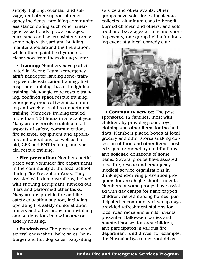supply, lighting, overhaul and salvage, and other support at emergency incidents; providing community assistance during such other emergencies as floods, power outages, hurricanes and severe winter storms; some help with yard and building maintenance around the fire station, while others paint fire hydrants or clear snow from them during winter.

**• Training:** Members have participated in "Scene Team" (emergency airlift helicopter landing zone) training, vehicle extrication training, first responder training, basic firefighting training, high-angle rope rescue training, confined space rescue training, emergency medical technician training and weekly local fire department training. Members' training totaled more than 500 hours in a recent year. Many groups receive training in all aspects of safety, communication, fire science, equipment and apparatus and operations, as well as first aid, CPR and EMT training, and special rescue training.

**• Fire prevention:** Members participated with volunteer fire departments in the community at the local school during Fire Prevention Week. They assisted with demonstrations, helped with showing equipment, handed out fliers and performed other tasks. Many groups provide fire and life safety education support, including operating fire safety demonstration trailers and other props and installing smoke detectors in low-income or elderly housing.

**• Fundraisers:** The post sponsored several car washes, bake sales, hamburger and hot dog sales, babysitting service and other events. Other groups have sold fire extinguishers, collected aluminum cans to benefit burned children and others, and sold food and beverages at fairs and sporting events; one group held a fundraising event at a local comedy club.



**• Community service:** The post sponsored 12 families, most with children, by providing food, toys, clothing and other items for the holidays. Members placed boxes at local grocery and other stores seeking collection of food and other items, posted signs for monetary contributions and solicited donations of some items. Several groups have assisted local fire, rescue and emergency medical service organizations in drinking-and-driving prevention programs for area high school students. Members of some groups have assisted with day camps for handicapped children, visited nursing homes, participated in community clean-up days, provided refreshment stations for local road races and similar events, presented Halloween parties and haunted houses for area children, and participated in various fire department fund drives, for example, the Muscular Dystrophy boot drives.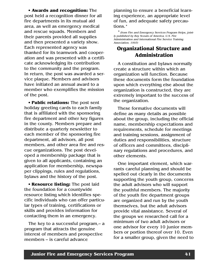**• Awards and recognition:** The post held a recognition dinner for all fire departments in its mutual aid area, as well as emergency medical and rescue squads. Members and their parents provided all supplies and then presented a variety show. Each represented agency was thanked for its teamwork and cooperation and was presented with a certificate acknowledging its contribution to the community and the program. In return, the post was awarded a service plaque. Members and advisors have initiated an annual award to a member who exemplifies the mission of the post.

**• Public relations:** The post sent holiday greeting cards to each family that is affiliated with the sponsoring fire department and other key figures in the county. Members prepare and distribute a quarterly newsletter to each member of the sponsoring fire department, all advisors, all post members, and other area fire and rescue organizations. The post developed a membership package that is given to all applicants, containing an application for membership, newspaper clippings, rules and regulations, bylaws and the history of the post.

**• Resource listing:** The post laid the foundation for a countywide resource listing which identifies specific individuals who can offer particular types of training, certifications or skills and provides information for contacting them in an emergency.

The key to a successful program,– a program that attracts the genuine interest of members and prospective members – is careful advance

planning to ensure a beneficial learning experience, an appropriate level of fun, and adequate safety precautions.\*

\*(from Fire and Emergency Services Program Helps, jointly published by Boy Scouts of America, U.S. Fire Administration and International Fire Service Training Association, 1993)

## **Organizational Structure and Administration**

A constitution and bylaws normally create a structure within which an organization will function. Because these documents form the foundation upon which everything else about the organization is constructed, they are extremely important to the success of the organization.

These formative documents will define as many details as possible about the group, including the official name, membership expectations and requirements, schedule for meetings and training sessions, assignment of duties and responsibilities, structure of officers and committees, disciplinary regulations and procedures, and other elements.

One important element, which warrants careful planning and should be spelled out clearly in the documents supporting the youth group, concerns the adult advisors who will support the youthful members. The majority of the youth fire department groups are organized and run by the youth themselves, but the adult advisors provide vital assistance. Several of the groups we researched call for a minimum of two adult advisors or one advisor for every 10 junior members or portion thereof over 10. Even for a smaller group, given the need to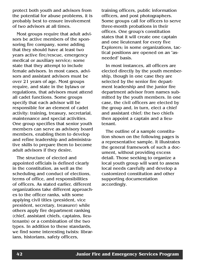protect both youth and advisors from the potential for abuse problems, it is probably best to ensure involvement of two advisors at all times.

Most groups require that adult advisors be active members of the sponsoring fire company, some adding that they should have at least two years active fire/rescue, emergency medical or auxiliary service; some state that they attempt to include female advisors. In most cases, advisors and assistant advisors must be over 21 years of age. Most groups require, and state in the bylaws or regulations, that advisors must attend all cadet functions. Some groups specify that each advisor will be responsible for an element of cadet activity: training, treasury, secretarial, maintenance and special activities. One group specifies that senior youth members can serve as advisory board members, enabling them to develop and refine leadership and administrative skills to prepare them to become adult advisors if they desire.

The structure of elected and appointed officials is defined clearly in the constitution, as well as the scheduling and conduct of elections, terms of office, and responsibilities of officers. As stated earlier, different organizations take different approaches to the officer ranks, with some applying civil titles (president, vice president, secretary, treasurer) while others apply fire department ranking (chief, assistant chiefs, captains, lieutenants) or a combination of the two types. In addition to these standards, we find some interesting twists: librarians, historians, safety officers,

training officers, public information officers, and post photographers. Some groups call for officers to serve three-month probations in their offices. One group's constitution states that it will create one captain and one lieutenant for every five Explorers; in some organizations, tactical positions are opened on an "asneeded" basis.

In most instances, all officers are elected directly by the youth membership, though in one case they are selected by the senior fire department leadership and the junior fire department advisor from names submitted by the youth members. In one case, the civil officers are elected by the group and, in turn, elect a chief and assistant chief; the two chiefs then appoint a captain and a lieutenant.

The outline of a sample constitution shown on the following pages is a representative sample. It illustrates the general framework of such a document, without providing excess detail. Those seeking to organize a local youth group will want to assess local needs carefully and develop a customized constitution and other supporting documentation accordingly.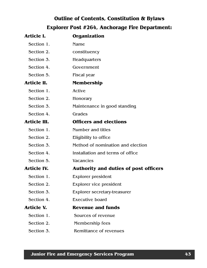## **Outline of Contents, Constitution & Bylaws**

## **Explorer Post #264, Anchorage Fire Department:**

| Article I.         | <b>Organization</b>                          |
|--------------------|----------------------------------------------|
| Section 1.         | <b>Name</b>                                  |
| Section 2.         | constituency                                 |
| Section 3.         | Headquarters                                 |
| Section 4.         | Government                                   |
| Section 5.         | Fiscal year                                  |
| Article II.        | <b>Membership</b>                            |
| Section 1.         | Active                                       |
| Section 2.         | Honorary                                     |
| Section 3.         | Maintenance in good standing                 |
| Section 4.         | Grades                                       |
| Article III.       | <b>Officers and elections</b>                |
| Section 1.         | Number and titles                            |
| Section 2.         | Eligibility to office                        |
| Section 3.         | Method of nomination and election            |
| Section 4.         | Installation and terms of office             |
| Section 5.         | Vacancies                                    |
| <b>Article IV.</b> | <b>Authority and duties of post officers</b> |
| Section 1.         | <b>Explorer president</b>                    |
| Section 2.         | Explorer vice president                      |
| Section 3.         | Explorer secretary-treasurer                 |
| Section 4.         | <b>Executive board</b>                       |
| <b>Article V.</b>  | <b>Revenue and funds</b>                     |
| Section 1.         | Sources of revenue                           |
| Section 2.         | Membership fees                              |
| Section 3.         | Remittance of revenues                       |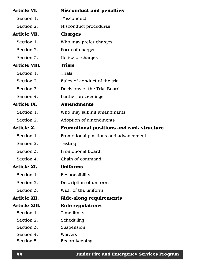| Article VI.              | <b>Misconduct and penalties</b>          |
|--------------------------|------------------------------------------|
| Section 1.               | Misconduct                               |
| Section 2.               | Misconduct procedures                    |
| <b>Article VII.</b>      | <b>Charges</b>                           |
| Section 1.               | Who may prefer charges                   |
| Section 2.               | Form of charges                          |
| Section 3.               | Notice of charges                        |
| <b>Article VIII.</b>     | <b>Trials</b>                            |
| Section 1.               | <b>Trials</b>                            |
| Section 2.               | Rules of conduct of the trial            |
| Section 3.               | Decisions of the Trial Board             |
| Section 4.               | Further proceedings                      |
| <b>Article IX.</b>       | <b>Amendments</b>                        |
| Section 1.               | Who may submit amendments                |
| Section 2.               | Adoption of amendments                   |
| <b>Article X.</b>        | Promotional positions and rank structure |
| Section 1.               | Promotional positions and advancement    |
| Section 2.               | Testing                                  |
|                          |                                          |
| Section 3.               | <b>Promotional Board</b>                 |
| Section 4.               | Chain of command                         |
| <b>Article XI.</b>       | <b>Uniforms</b>                          |
| Section 1.               | Responsibility                           |
| Section 2.               | Description of uniform                   |
| Section 3.               | Wear of the uniform                      |
| <b>Article XII.</b>      | <b>Ride-along requirements</b>           |
| <b>Article XIII.</b>     | <b>Ride regulations</b>                  |
| Section 1.               | Time limits                              |
| Section 2.               | Scheduling                               |
| Section 3.               | Suspension                               |
| Section 4.<br>Section 5. | Waivers<br>Recordkeeping                 |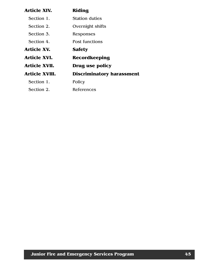| <b>Article XIV.</b>   | <b>Riding</b>                    |
|-----------------------|----------------------------------|
| Section 1.            | <b>Station duties</b>            |
| Section 2.            | Overnight shifts                 |
| Section 3.            | Responses                        |
| Section 4.            | Post functions                   |
| <b>Article XV.</b>    | <b>Safety</b>                    |
| <b>Article XVI.</b>   | <b>Recordkeeping</b>             |
| <b>Article XVII.</b>  | Drug use policy                  |
| <b>Article XVIII.</b> | <b>Discriminatory harassment</b> |
| Section 1.            | Policy                           |
| Section 2.            | References                       |
|                       |                                  |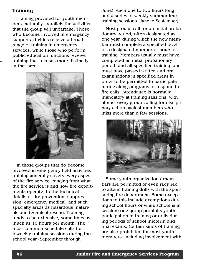## **Training**

Training provided for youth members, naturally, parallels the activities that the group will undertake. Those who become involved in emergency support activities receive a broad range of training in emergency services, while those who perform public education functions receive training that focuses more distinctly in that area.



In those groups that do become involved in emergency field activities, training generally covers every aspect of the fire service, ranging from what the fire service is and how fire departments operate, to the technical details of fire prevention, suppression, emergency medical, and such specialty areas as hazardous materials and technical rescue. Training tends to be extensive, sometimes as much as 10 hours per month. The most common schedule calls for biweekly training sessions during the school year (September through

June), each one to two hours long, and a series of weekly summertime training sessions (June to September).

Most groups call for an initial probationary period, often designated as one year, during which the new member must complete a specified level or a designated number of hours of training. Members usually must have completed an initial probationary period, and all specified training, and must have passed written and oral examinations in specified areas in order to be permitted to participate in ride-along programs or respond to fire calls. Attendance is normally mandatory at training sessions, with almost every group calling for disciplinary action against members who miss more than a few sessions.



Some youth organizations' members are permitted or even required to attend training drills with the sponsoring fire department. Some exceptions to this include exemptions during school hours or while school is in session; one group prohibits youth participation in training or drills during periods of school midterm and final exams. Certain kinds of training are also prohibited for most youth members, including involvement with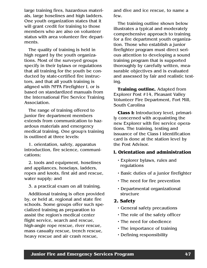large training fires, hazardous materials, large hoselines and high ladders. One youth organization states that it will grant credit for training to those members who are also on volunteer status with area volunteer fire departments.

The quality of training is held in high regard by the youth organizations. Most of the surveyed groups specify in their bylaws or regulations that all training for the youth be conducted by state-certified fire instructors, and that all youth training is aligned with NFPA Firefighter I, or is based on standardized manuals from the International Fire Service Training Association.

The range of training offered to junior fire department members extends from communication to hazardous materials and emergency medical training. One group's training is outlined at three levels:

1. orientation, safety, apparatus introduction, fire science, communications;

2. tools and equipment, hoselines and appliances, hoselays, ladders, ropes and knots, first aid and rescue, water supply; and

3. a practical exam on all training.

Additional training is often provided by, or held at, regional and state fire schools. Some groups offer such specialized training as preparation to assist the region's medical center flight service, search and rescue, high-angle rope rescue, river rescue, mass casualty rescue, trench rescue, heavy rescue and air crash rescue,

and dive and ice rescue, to name a few.

The training outline shown below illustrates a typical and moderately comprehensive approach to training for a fire department youth organization. Those who establish a junior firefighter program must direct serious attention to developing a sound training program that is supported thoroughly by carefully written, measurable objectives and is evaluated and assessed by fair and realistic testing.

**Training outline,** Adapted from Explorer Post #14, Pleasant Valley Volunteer Fire Department, Fort Mill, South Carolina

**Class I:** Introductory level, primarily concerned with acquainting the new Explorer with fire service operations. The training, testing and issuance of the Class I identification card is done at the station level by the Post Advisor.

## **l. Orientation and administration**

- Explorer bylaws, rules and regulations
- Basic duties of a junior firefighter
- The need for fire prevention
- Departmental organizational structure

## **2. Safety**

- General safety precautions
- The role of the safety officer
- The need for obedience
- The importance of training
- Defining responsibility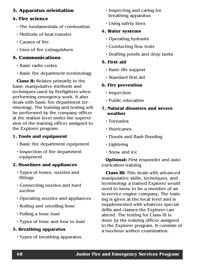## **3. Apparatus orientation**

## **4. Fire science**

- The fundamentals of combustion
- Methods of heat transfer
- Causes of fire
- Uses of fire extinguishers

## **5. Communications**

- Basic radio codes
- Basic fire department terminology

**Class II:** Relates primarily to the basic manipulative methods and techniques used by firefighters when performing emergency work. It also deals with basic fire department terminology. The training and testing will be performed by the company officer at the station level under the supervision of the training officer assigned to the Explorer program.

## **1. Tools and equipment**

- Basic fire department equipment
- Inspection of fire department equipment
- **2. Hoselines and appliances**
	- Types of hoses, nozzles and fittings
	- Connecting nozzles and hard suction
	- Operating nozzles and appliances
	- Rolling and unrolling hose
	- Pulling a hose load
	- Types of hose and how to load

## **3. Breathing apparatus**

• Types of breathing apparatus

- Inspecting and caring for breathing apparatus
- Using safety lines

## **4. Water systems**

- Operating hydrants
- Conducting flow tests
- Drafting ponds and drop tanks

## **5. First aid**

- Basic life support
- Standard first aid

## **6. Fire prevention**

- Inspection
- Public education

## **7. Natural disasters and severe weather**

- Tornados
- Hurricanes
- Floods and flash flooding
- Lightning
- Snow and ice

**Optional:** First responder and auto extrication training

**Class III:** This deals with advanced manipulative skills, techniques, and terminology a trained Explorer would need to know to be a member of an in-service engine company. The training is given at the local level and is supplemented with whatever special drills and classes the Explorer can attend. The testing for Class III is done by the training officer assigned to the Explorer program. It consists of a two-hour written examination.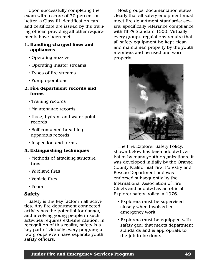Upon successfully completing the exam with a score of 70 percent or better, a Class III identification card and certificate are issued by the training officer, providing all other requirements have been met.

## **1. Handling charged lines and appliances**

- Operating nozzles
- Operating master streams
- Types of fire streams
- Pump operations

### **2. Fire department records and forms**

- Training records
- Maintenance records
- Hose, hydrant and water point records
- Self-contained breathing apparatus records
- Inspection and forms

## **3. Extinguishing techniques**

- Methods of attacking structure fires
- Wildland fires
- Vehicle fires
- Foam

## **Safety**

Safety is the key factor in all activities. Any fire department connected activity has the potential for danger, and involving young people in such activities requires extreme caution. In recognition of this reality, safety is a key part of virtually every program; a few groups even have separate youth safety officers.

Most groups' documentation states clearly that all safety equipment must meet fire department standards; several specifically reference compliance with NFPA Standard 1500. Virtually every group's regulations require that all safety equipment be kept clean and maintained properly by the youth members and be used and worn properly.



The Fire Explorer Safety Policy, shown below has been adopted verbatim by many youth organizations. It was developed initially by the Orange County [California] Fire, Forestry and Rescue Department and was endorsed subsequently by the International Association of Fire Chiefs and adopted as an official Explorer safety policy in 1976.

- Explorers must be supervised closely when involved in emergency work.
- Explorers must be equipped with safety gear that meets department standards and is appropriate to the job to be done.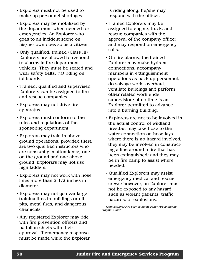- Explorers must not be used to make up personnel shortages.
- Explorers may be mobilized by the department when needed for emergencies. An Explorer who goes to an incident scene on his/her own does so as a citizen.
- Only qualified, trained (Class III) Explorers are allowed to respond to alarms in fire department vehicles. They must be seated and wear safety belts. NO riding on tailboards.
- Trained, qualified and supervised Explorers can be assigned to fire and rescue companies.
- Explorers may not drive fire apparatus.
- Explorers must conform to the rules and regulations of the sponsoring department.
- Explorers may train in above ground operations, provided there are two qualified instructors who are constantly in attendance, one on the ground and one above ground; Explorers may not use high ladders.
- Explorers may not work with hose lines more than 2 1/2 inches in diameter.
- Explorers may not go near large training fires in buildings or oil pits, metal fires, and dangerous chemicals.
- Any registered Explorer may ride with fire prevention officers and battalion chiefs with their approval. If emergency response must be made while the Explorer

is riding along, he/she may respond with the officer.

- Trained Explorers may be assigned to engine, truck, and rescue companies with the approval of the company officer and may respond on emergency calls.
- On fire alarms, the trained Explorer may make hydrant connections, accompany members in extinguishment operations as back up personnel, do salvage work, overhaul, ventilate buildings and perform other related work under supervision; at no time is an Explorer permitted to advance into a burning building.
- Explorers are not to be involved in the actual control of wildland fires,but may take hose to the water connection on hose lays where there is no hazard involved; they may be involved in constructing a line around a fire that has been extinguished; and they may be in fire camp to assist where needed.
- Qualified Explorers may assist emergency medical and rescue crews; however, an Explorer must not be exposed to any hazard, such as violent patients, traffic hazards, or explosions.

From Explorer Fire Service Safety Policy Fire Exploring Program Guide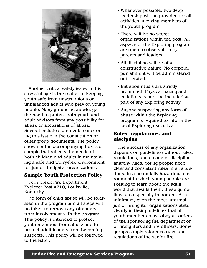

Another critical safety issue in this stressful age is the matter of keeping youth safe from unscrupulous or unbalanced adults who prey on young people. Many groups acknowledge the need to protect both youth and adult advisors from any possibility for abuse or accusations of abuse. Several include statements concerning this issue in the constitution or other group documents. The policy shown in the accompanying box is a sample that reflects the needs of both children and adults in maintaining a safe and worry-free environment for junior firefighter organizations.

## **Sample Youth Protection Policy**

Fern Creek Fire Department Explorer Post #710, Louisville, Kentucky

No form of child abuse will be tolerated in the program and all steps will be taken to remove any offenders from involvement with the program. This policy is intended to protect youth members from abuse and to protect adult leaders from becoming suspects. This policy will be followed to the letter.

- Whenever possible, two-deep leadership will be provided for all activities involving members of the youth program.
- There will be no secret organizations within the post. All aspects of the Exploring program are open to observation by parents and leaders.
- All discipline will be of a constructive nature. No corporal punishment will be administered or tolerated.
- Initiation rituals are strictly prohibited. Physical hazing and initiations cannot be included as part of any Exploring activity.
- Anyone suspecting any form of abuse within the Exploring program is required to inform the local Exploring executive.

## **Rules, regulations, and discipline**

The success of any organization depends on guidelines; without rules, regulations, and a code of discipline, anarchy rules. Young people need clear and consistent rules in all situations. In a potentially hazardous environment in which young people are seeking to learn about the adult world that awaits them, these guidelines are especially important. At a minimum, even the most informal junior firefighter organizations state clearly in their guidelines that all youth members must obey all orders of the sponsoring fire department or of firefighters and fire officers. Some groups simply reference rules and regulations of the senior fire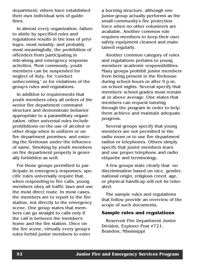department; others have established their own individual sets of guidelines.

In almost every organization, failure to abide by specified rules and regulations results in the loss of privileges, most notably, and probably most meaningfully, the prohibition of offenders from participating in ride-along and emergency response activities. Most commonly, youth members can be suspended for neglect of duty, for "conduct unbecoming," or for violations of the group's rules and regulations.

In addition to requirements that youth members obey all orders of the senior fire department command structure and demonstrate behavior appropriate to a paramilitary organization, other universal rules include prohibitions on the use of alcohol or other drugs when in uniform or on fire department premises, and entering the firehouse under the influence of same. Smoking by youth members on fire department property is generally forbidden as well.

For those groups permitted to participate in emergency responses, specific rules universally require that, when responding to fire calls, young members obey all traffic laws and use the most direct route. In most cases, the members are to report to the fire station, not directly to the emergency scene. One group states that members can go straight to calls only if the call is between the member's home and the fire station. Once on the fire scene, virtually every group's rules forbid junior members to enter

a burning structure, although one junior group actually performs as the small community's fire protection force when no other volunteers are available. Another common rule requires members to keep their own safety equipment cleaned and maintained regularly.

Another common category of rules and regulations pertains to young members' academic responsibilities. Many groups prohibit junior members from being present in the firehouse during school hours or after 9 p.m. on school nights. Several specify that members' school grades must remain at or above average. One states that members can request tutoring through the program in order to help them achieve and maintain adequate progress.

Several groups specify that young members are not permitted in the radio room or to use fire department radios or telephones. Others simply specify that junior members learn and use proper telephone and radio etiquette and terminology.

A few groups state clearly that no discrimination based on race, gender, national origin, religious creed, age, or physical handicap will not be tolerated.

The sample rules and regulations that follow provide an overview of the scope of such documents.

#### **Sample rules and regulations**

Reservoir Fire Department Junior Division, Explorer Post #721, Brandon, Mississippi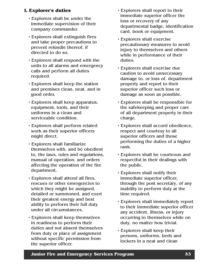## **I. Explorer's duties**

- Explorers shall be under the immediate supervision of their company commander.
- Explorers shall extinguish fires and take proper precautions to prevent rekindle thereof, if directed to do so.
- Explorers shall respond with the units to all alarms and emergency calls and perform all duties required.
- Explorers shall keep the station and premises clean, neat, and in good order.
- Explorers shall keep apparatus, equipment, tools, and their uniforms in a clean and serviceable condition.
- Explorers shall perform related work as their superior officers might direct.
- Explorers shall familiarize themselves with, and be obedient to, the laws, rules and regulations, manual of operation, and orders affecting the operation of the fire department.
- Explorers shall attend all fires, rescues or other emergencies to which they might be assigned, detailed or summoned, and exert their greatest energy and best ability to perform their full duty under all circumstances.
- Explorers shall keep themselves in readiness to perform their duties and not absent themselves from duty or place of assignment without specific permission from the superior officer.
- Explorers shall report to their immediate superior officer the loss or recovery of any departmental badge, identification card, book or equipment.
- Explorers shall exercise precautionary measures to avoid injury to themselves and others while in performance of their duties.
- Explorers shall exercise due caution to avoid unnecessary damage to, or loss of, department property and report to their superior officer such loss or damage as soon as possible.
- Explorers shall be responsible for the safekeeping and proper care of all department property in their charge.
- Explorers shall accord obedience, respect and courtesy to all superior officers and those performing the duties of a higher rank.
- Explorers shall be courteous and respectful in their dealings with the public.
- Explorers shall notify their immediate superior officer, through the post secretary, of any inability to perform duty at the time required.
- Explorers shall immediately report to their immediate superior officer any accident, illness, or injury occurring to themselves while on duty, no matter how trivial.
- Explorers shall keep their persons, uniforms, beds and lockers in a neat and clean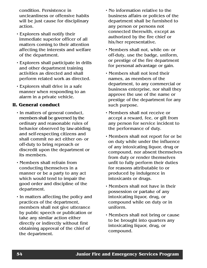condition. Persistence in uncleanliness or offensive habits will be just cause for disciplinary action.

- Explorers shall notify their immediate superior officer of all matters coming to their attention affecting the interests and welfare of the department.
- Explorers shall participate in drills and other department training activities as directed and shall perform related work as directed.
- Explorers shall drive in a safe manner when responding to an alarm in a private vehicle.

## **II. General conduct**

- In matters of general conduct, members shall be governed by the ordinary and reasonable rules of behavior observed by law-abiding and self-respecting citizens and shall commit no act either on- or off-duty to bring reproach or discredit upon the department or its members.
- Members shall refrain from conducting themselves in a manner or be a party to any act which would tend to impair the good order and discipline of the department.
- In matters affecting the policy and practices of the department, members shall not give utterance by public speech or publication or take any similar action either directly or indirectly without first obtaining approval of the chief of the department.
- No information relative to the business affairs or policies of the department shall be furnished to any person or persons not connected therewith, except as authorized by the fire chief or his/her representative.
- Members shall not, while on- or off-duty, use the badge, uniform, or prestige of the fire department for personal advantage or gain.
- Members shall not lend their names, as members of the department, to any commercial or business enterprise, nor shall they approve the use of the name or prestige of the department for any such purpose.
- Members shall not receive or accept a reward, fee, or gift from any person for service incident to the performance of duty.
- Members shall not report for or be on duty while under the influence of any intoxicating liquor, drug or compound, nor absent themselves from duty or render themselves unfit to fully perform their duties for reasons attributable to or produced by indulgence in intoxicants or drugs.
- Members shall not have in their possession or partake of any intoxicating liquor, drug, or compound while on duty or in uniform.
- Members shall not bring or cause to be brought into quarters any intoxicating liquor, drug, or compound.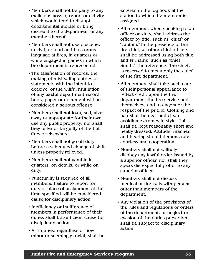- Members shall not be party to any malicious gossip, report or activity which would tend to disrupt departmental morale or bring discredit to the department or any member thereof.
- Members shall not use obscene, uncivil, or loud and boisterous language at fires, in quarters or while engaged in games in which the department is represented.
- The falsification of records, the making of misleading entries or statements with the intent to deceive, or the willful mutilation of any useful department record, book, paper or document will be considered a serious offense.
- Members shall not loan, sell, give away or appropriate for their own use any public property, nor shall they pilfer or be guilty of theft at fires or elsewhere.
- Members shall not go off-duty before a scheduled change of shift unless properly relieved.
- Members shall not gamble in quarters, on details, or while on duty.
- Punctuality is required of all members. Failure to report for duty or place of assignment at the time specified will be considered cause for disciplinary action.
- Inefficiency or indifference of members in performance of their duties shall be sufficient cause for disciplinary action.
- All injuries, regardless of how minor or seemingly trivial, shall be

entered in the log book at the station to which the member is assigned.

- All members, when speaking to an officer on duty, shall address the officer by title, such as "chief" or "captain." In the presence of the fire chief, all other chief officers shall be addressed using both title and surname, such as "chief Smith." The reference, "the chief," is reserved to mean only the chief of the fire department.
- All members shall take such care of their personal appearance to reflect credit upon the fire department, the fire service and themselves, and to engender the respect of the public. Clothing and hair shall be neat and clean, avoiding extremes in style. Hair shall be kept reasonably short and neatly dressed. Attitude, manner, and bearing should demonstrate courtesy and cooperation.
- Members shall not willfully disobey any lawful order issued by a superior officer, nor shall they speak disrespectfully of or to any superior officer.
- Members shall not discuss medical or fire calls with persons other than members of the department.
- Any violation of the provisions of the rules and regulations or orders of the department, or neglect or evasion of the duties prescribed, shall be subject to disciplinary action.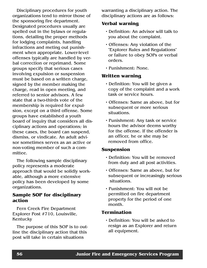Disciplinary procedures for youth organizations tend to mirror those of the sponsoring fire department. Designated procedures usually are spelled out in the bylaws or regulations, detailing the proper methods for lodging complaints, handling infractions and meting out punishment when appropriate. Lower-level offenses typically are handled by verbal correction or reprimand. Some groups specify that serious cases involving expulsion or suspension must be based on a written charge, signed by the member making the charge, read in open meeting, and referred to senior advisors. A few state that a two-thirds vote of the membership is required for expulsion, except on a third offense. Some groups have established a youth board of inquiry that considers all disciplinary actions and operations; in these cases, the board can suspend, dismiss, or vindicate. An adult advisor sometimes serves as an active or non-voting member of such a committee.

The following sample disciplinary policy represents a moderate approach that would be solidly workable, although a more extensive policy has been developed by some organizations.

## **Sample SOP for disciplinary action**

Fern Creek Fire Department Explorer Post #710, Louisville, Kentucky

The purpose of this SOP is to outline the disciplinary action that this post will take in certain situations

warranting a disciplinary action. The disciplinary actions are as follows:

#### **Verbal warning**

- Definition: An advisor will talk to you about the complaint.
- Offenses: Any violation of the "Explorer Rules and Regulations" or failure to obey SOPs or verbal orders.
- Punishment: None.

## **Written warning**

- Definition: You will be given a copy of the complaint and a work task or service hours.
- Offenses: Same as above, but for subsequent or more serious situations.
- Punishment: Any task or service hours the advisor deems worthy for the offense. If the offender is an officer, he or she may be removed from office.

## **Suspension**

- Definition: You will be removed from duty and all post activities.
- Offenses: Same as above, but for subsequent or increasingly serious situations.
- Punishment: You will not be permitted on fire department property for the period of one month.

## **Termination**

• Definition: You will be asked to resign as an Explorer and return all equipment.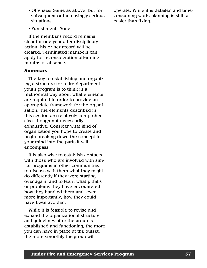- Offenses: Same as above, but for subsequent or increasingly serious situations.
- Punishment: None.

If the member's record remains clear for one year after disciplinary action, his or her record will be cleared. Terminated members can apply for reconsideration after nine months of absence.

## **Summary**

The key to establishing and organizing a structure for a fire department youth program is to think in a methodical way about what elements are required in order to provide an appropriate framework for the organization. The elements described in this section are relatively comprehensive, though not necessarily exhaustive. Consider what kind of organization you hope to create and begin breaking down the concept in your mind into the parts it will encompass.

It is also wise to establish contacts with those who are involved with similar programs in other communities, to discuss with them what they might do differently if they were starting over again, and to learn what pitfalls or problems they have encountered, how they handled them and, even more importantly, how they could have been avoided.

While it is feasible to revise and expand the organizational structure and guidelines after the group is established and functioning, the more you can have in place at the outset, the more smoothly the group will

operate. While it is detailed and timeconsuming work, planning is still far easier than fixing.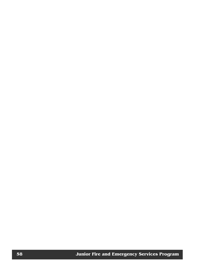**58 Junior Fire and Emergency Services Program**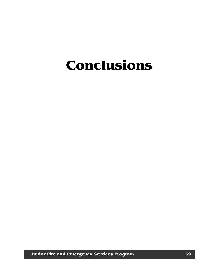## **Conclusions**

**Junior Fire and Emergency Services Program 59**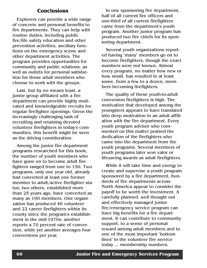## **Conclusions**

Explorers can provide a wide range of concrete and personal benefits to fire departments. They can help with routine duties, including public fire/life safety education and other prevention activities, ancillary functions on the emergency scene and other department activities. The program provides opportunities for community and public relations, as well as outlets for personal satisfaction for those adult members who choose to work with the groups.

Last, but by no means least, a junior group affiliated with a fire department can provide highly motivated and knowledgeable recruits for regular firefighter openings. Given the increasingly challenging task of recruiting and retaining devoted volunteer firefighters in today's communities, this benefit might be seen as the driving consideration.

Among the junior fire department programs researched for this book, the number of youth members who have gone on to become adult firefighters ranged from one to 150. Two programs, only one year old, already had converted at least one former member to adult/active firefighter status; two others, established more than 25 years ago, have converted as many as 100 members. One organization has produced 46 volunteer and 22 career firefighters within its county since the program's establishment in the mid-1970s; another reports a 70 percent rate of conversion, while yet another averages four conversions per year.

In one sponsoring fire department, half of all current fire officers and one-third of all current firefighters came from the department's youth program. Another junior program has produced two fire chiefs for its sponsoring department.

Several youth organizations reported having "many" members go on to become firefighters, though the exact numbers were not known. Almost every program, no matter how new or how small, has resulted in at least some, from a few to a dozen, members becoming firefighters.

The quality of these youth-to-adult conversion firefighters is high. The motivation that developed among the youngsters appears to have translated into deep motivation in an adult affiliation with the fire department. Every youth program advisor who commented on this matter praised the dedication of the firefighters who came into the department from the youth programs. Several members of youth programs later won valor or lifesaving awards as adult firefighters.

While it will take time and energy to create and supervise a youth program sponsored by a fire department, hundreds of fire departments across North America appear to consider the payoff to be worth the investment. A carefully planned, well thought out and effectively managed junior fire/emergency service program can have big benefits for a fire department. It can contribute to community support, to a sense of personal reward among adult members and to one of the most important "bottom lines" in the volunteer fire service today ... membership numbers.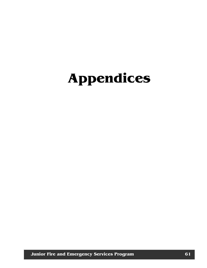## **Appendices**

**Junior Fire and Emergency Services Program 61**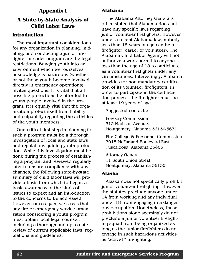## **Appendix I A State-by-State Analysis of Child Labor Laws**

## **Introduction**

The most important considerations for any organization in planning, initiating, and conducting a junior firefighter or cadet program are the legal restrictions. Bringing youth into an environment which we, ourselves, acknowledge is hazardous (whether or not those youth become involved directly in emergency operations) invites questions. It is vital that all possible protections be afforded to young people involved in the program. It is equally vital that the organization protect itself from liability and culpability regarding the activities of the youth members.

One critical first step in planning for such a program must be a thorough investigation of local and state laws and regulations guiding youth protection. While this investigation must be done during the process of establishing a program and reviewed regularly later to ensure compliance with any changes, the following state-by-state summary of child labor laws will provide a basis from which to begin, a basic awareness of the kinds of issues to expect and an introduction to the concerns to be addressed. However, once again, we stress that any fire or emergency service organization considering a youth program must obtain local legal counsel, including a thorough and up-to-date review of current applicable laws, regulations and guidelines.

## **Alabama**

The Alabama Attorney General's office stated that Alabama does not have any specific laws regarding junior volunteer firefighters. However, under a recent Alabama law, nobody less than 18 years of age can be a firefighter (career or volunteer). The Alabama Child Labor Agency will not authorize a work permit to anyone less than the age of 18 to participate as a volunteer firefighter under any circumstances. Interestingly, Alabama provides for non-mandatory certification of its volunteer firefighters. In order to participate in the certification process, the firefighter must be at least 19 years of age.

Suggested contacts:

Forestry Commission, 513 Madison Avenue, Montgomery, Alabama 36130-3631

Fire College & Personnel Commission 2015 McFarland Boulevard East Tuscaloosa, Alabama 35405

Attorney General 11 South Union Street Montgomery, Alabama 36130

#### **Alaska**

Alaska does not specifically prohibit junior volunteer firefighting. However, the statutes preclude anyone under 14 from working and any individual under 18 from engaging in a dangerous occupation. Nonetheless, these prohibitions alone seemingly do not preclude a junior volunteer firefighting squad from being organized as long as the junior firefighters do not engage in such hazardous activities as "active1" firefighting.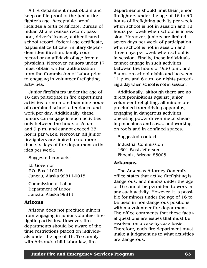A fire department must obtain and keep on file proof of the junior firefighter's age. Acceptable proof includes a birth certificate, Bureau of Indian Affairs census record, passport, driver's license, authenticated school record, federal age certificate, baptismal certificate, military dependent identification, family court record or an affidavit of age from a physician. Moreover, minors under 17 must obtain written authorization from the Commission of Labor prior to engaging in volunteer firefighting activities.

Junior firefighters under the age of 16 can participate in fire department activities for no more than nine hours of combined school attendance and work per day. Additionally, these juniors can engage in such activities only between the hours of 5 a.m. and 9 p.m. and cannot exceed 23 hours per week. Moreover, all junior firefighters are limited to no more than six days of fire department activities per week.

Suggested contacts:

Lt. Governor P.O. Box 110015 Juneau, Alaska 99811-0015

Commission of Labor Department of Labor Juneau, Alaska 99811

#### **Arizona**

Arizona does not preclude minors from engaging in junior volunteer firefighting activities. However, fire departments should be aware of the time restrictions placed on individuals under the age of 16. To comply with Arizona's child labor law, fire

departments should limit their junior firefighters under the age of 16 to 40 hours of firefighting activity per week when school is not in session and 18 hours per week when school is in session. Moreover, juniors are limited seven days per week of participation when school is not in session and three days per week when school is in session. Finally, these individuals cannot engage in such activities between the hours of 9:30 p.m. and 6 a.m. on school nights and between 11 p.m. and 6 a.m. on nights preceding a day when school is not in session.

Additionally, although there are no direct prohibitions against junior volunteer firefighting, all minors are precluded from driving apparatus, engaging in dangerous activities, operating power-driven metal shearing machines and saws, and working on roofs and in confined spaces.

Suggested contact:

Industrial Commission 1601 West Jefferson Phoenix, Arizona 85005

#### **Arkansas**

The Arkansas Attorney General's office states that active firefighting is dangerous, and minors under the age of 16 cannot be permitted to work in any such activity. However, it is possible for minors under the age of 16 to be used in non-dangerous positions within a volunteer fire department. The office comments that these factual questions are issues that must be resolved on a case-by-case basis. Therefore, each fire department must make a judgment as to what activities are dangerous.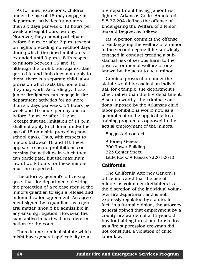As for time restrictions, children under the age of 16 may engage in department activities for no more than six days per week, 48 hours per week and eight hours per day. Moreover, they cannot participate before 6 a.m. or after 7 p.m. (except on nights preceding non-school days, during which the time limitation is extended until 9 p.m.). With respect to minors between 16 and 18, although the prohibition against danger to life and limb does not apply to them, there is a separate child labor provision which sets the hours that they may work. Accordingly, those junior firefighters can engage in fire department activities for no more than six days per week, 54 hours per week and 10 hours per day and not before 6 a.m. or after 11 p.m. (except that the limitation of 11 p.m. shall not apply to children under the age of 18 on nights preceding nonschool days). Thus, with respect to minors between 16 and 18, there appears to be no prohibitions concerning the activities in which they can participate, but the maximum lawful work hours for these minors must be respected.

The attorney general's office suggests that fire departments desiring the protection of a release require the minor's guardian to sign a release and indemnification agreement. An agreement signed by a guardian, as a general matter, should be admissible in any ensuing litigation. However, the substantive impact will be a determination for the court.

There is one criminal statute which might have general applicability to a

fire department having junior firefighters. Arkansas Code, Annotated, S 5-27-204 defines the offense of Endangering the Welfare of a Minor, Second Degree, as follows:

(a) A person commits the offense of endangering the welfare of a minor in the second degree if he knowingly engaged in conduct creating a substantial risk of serious harm to the physical or mental welfare of one known by the actor to be a minor.

Criminal prosecution under the statute would be against an individual, for example, the department's chief, rather than the fire department. Also noteworthy, the criminal sanctions imposed by the Arkansas child labor prohibitions would not, as a general matter, be applicable to a training program as opposed to the actual employment of the minors.

Suggested contact:

Attorney General 200 Tower Building 323 Center Street Little Rock, Arkansas 72201-2610

#### **California**

The California Attorney General's office indicated that the use of minors as volunteer firefighters is at the discretion of the individual volunteer fire department and is not expressly regulated by statute. In fact, in a formal opinion, the attorney general opined that employment by a county fire warden of a 15-year-old boy for fighting forest and brush fires as a fire suppression crewman did not constitute a violation of child labor law.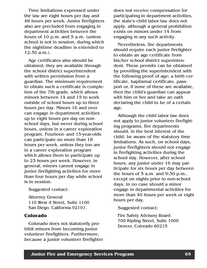Time limitations expressed under the law are eight hours per day and 48 hours per week. Junior firefighters also are precluded from engaging in department activities between the hours of 10 p.m. and 5 a.m. (unless school is not in session, during which the nighttime deadline is extended to 12:30 a.m.).

Age certificates also should be obtained; they are available through the school district superintendent with written permission from a guardian. The minimum requirement to obtain such a certificate is completion of the 7th grade, which allows minors between 14 and 15 to work outside of school hours up to three hours per day. Minors 16 and over can engage in department activities up to eight hours per day on nonschool days, but never during school hours, unless in a career exploration program. Fourteen- and 15-year-olds can participate no more than 18 hours per week, unless they too are in a career exploration program which allows them to participate up to 23 hours per week. However, in general, minors cannot engage in junior firefighting activities for more than four hours per day while school is in session.

Suggested contact:

Attorney General 110 West A Street, Suite 1100 San Diego, California 92101.

#### **Colorado**

Colorado does not statutorily prohibit minors from becoming junior volunteer firefighters. Furthermore, because a junior volunteer firefighter

does not receive compensation for participating in department activities, the state's child labor law does not apply, although a general prohibition exists on minors under 14 from engaging in any such activity.

Nevertheless, fire departments should require each junior firefighter to obtain an age certificate from his/her school district superintendent. These permits can be obtained by providing the superintendent with the following proof of age: a birth certificate, baptismal certificate, passport or, if none of these are available, then the child's guardian can appear with him or her and take an oath declaring the child to be of a certain age.

Although the child labor law does not apply to junior volunteer firefighting programs, fire departments should, in the best interest of the child, be aware of the statutory time limitations. As such, on school days, junior firefighters should not engage in firefighting activities during the school day. However, after school hours, any junior under 16 may participate for six hours per day between the hours of  $5$  a.m. and  $9:30$  p.m., except on nights prior to non-school days. In no case should a minor engage in departmental activities for more than 40 hours per week or eight hours per day.

Suggested contact:

Fire Safety Advisory Board 700 Kipling Street, Suite 1000 Denver, Colorado 80215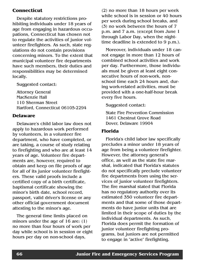## **Connecticut**

Despite statutory restrictions prohibiting individuals under 18 years of age from engaging in hazardous occupations, Connecticut has chosen not to regulate the activities of junior volunteer firefighters. As such, state regulations do not contain provisions concerning minors. To the extent that municipal volunteer fire departments have such members, their duties and responsibilities may be determined locally.

Suggested contact:

Attorney General MacKenzie Hall 110 Sherman Street Hartford, Connecticut 06105-2294

#### **Delaware**

Delaware's child labor law does not apply to hazardous work performed by volunteers, in a volunteer fire department, who have completed, or are taking, a course of study relating to firefighting and who are at least 14 years of age. Volunteer fire departments are, however, required to obtain and keep on file proofs of age for all of its junior volunteer firefighters. These valid proofs include a certified copy of a birth certificate, baptismal certificate showing the minor's birth date, school record, passport, valid driver's license or any other official government document attesting to the minor's age.

The general time limits placed on minors under the age of 16 are: (1) no more than four hours of work per day while school is in session or eight hours per day on non-school days,

(2) no more than 18 hours per week while school is in session or 40 hours per week during school breaks, and (3) no work between the hours of 7 p.m. and 7 a.m. (except from June 1 through Labor Day, when the nighttime deadline is extended to 9 p.m.).

Moreover, individuals under 18 cannot engage in more than 12 hours of combined school activities and work per day. Furthermore, those individuals must be given at least eight consecutive hours of non-work, nonschool time each 24 hours and, during work-related activities, must be provided with a one-half-hour break every five hours.

Suggested contact:

State Fire Prevention Commission 1461 Chestnut Grove Road Dover, Delaware 19904

#### **Florida**

Florida's child labor law specifically precludes a minor under 18 years of age from being a volunteer firefighter. However, the attorney general's office, as well as the state fire marshal, indicated that Florida's statutes do not specifically preclude volunteer fire departments from using the services of junior volunteer firefighters. The fire marshal stated that Florida has no regulatory authority over its estimated 350 volunteer fire departments and that some of those departments do have junior units that are limited in their scope of duties by the individual departments. As such, Florida does permit the formation of junior volunteer firefighting programs, but juniors are not permitted to engage in "active" firefighting.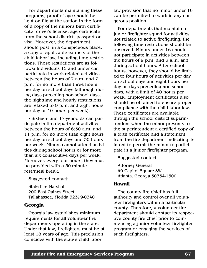For departments maintaining these programs, proof of age should be kept on file at the station in the form of a copy of the minor's birth certificate, driver's license, age certificate from the school district, passport or visa. Moreover, the department should post, in a conspicuous place, a copy of applicable extracts of the child labor law, including time restrictions. Those restrictions are as follows: Individuals 15 and under can participate in work-related activities between the hours of 7 a.m. and 7 p.m. for no more than three hours per day on school days (although during days preceding non-school days, the nighttime and hourly restrictions are relaxed to 9 p.m. and eight hours per day or 40 hours per week).

• Sixteen- and 17-year-olds can participate in fire department activities between the hours of 6:30 a.m. and 11 p.m. for no more than eight hours per day on school days and 30 hours per week. Minors cannot attend activities during school hours or for more than six consecutive days per week. Moreover, every four hours, they must be provided with a 30-minute rest/meal break.

Suggested contact:

State Fire Marshal 200 East Gaines Street Tallahassee, Florida 32399-0340

## **Georgia**

Georgia law establishes minimum requirements for all volunteer fire departments operating in the state. Under that law, firefighters must be at least 18 years of age. This preclusion coincides with the state's child labor

law provision that no minor under 16 can be permitted to work in any dangerous position.

For departments that maintain a junior firefighter squad for activities not related to active firefighting, the following time restrictions should be observed. Minors under 16 should not participate in activities between the hours of 9 p.m. and 6 a.m. and during school hours. After school hours, however, they should be limited to four hours of activities per day on school days and eight hours per day on days preceding non-school days, with a limit of 40 hours per week. Employment certificates also should be obtained to ensure proper compliance with the child labor law. These certificates are available through the school district superintendent when the minor presents to the superintendent a certified copy of a birth certificate and a statement from the fire department indicating its intent to permit the minor to participate in a junior firefighter program.

Suggested contact:

Attorney General 40 Capitol Square SW Atlanta, Georgia 30334-1300

## **Hawaii**

The county fire chief has full authority and control over all volunteer firefighters within a particular county. Therefore, a volunteer fire department should contact its respective county fire chief prior to commencing a junior volunteer firefighter program or engaging the services of such firefighters.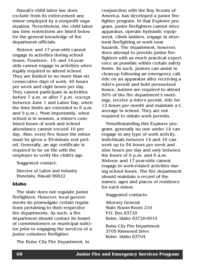Hawaii's child labor law does exclude from its enforcement any minor employed by a nonprofit organization. Nevertheless, the child labor law time restrictions are listed below for the general knowledge of fire department officials.

Sixteen- and 17-year-olds cannot engage in activities during school hours. Fourteen-, 15- and 16-yearolds cannot engage in activities when legally required to attend school. They are limited to no more than six consecutive days of work, 40 hours per week and eight hours per day. They cannot participate in activities before 7 a.m. or after 7 p.m. (except between June 1 and Labor Day, when the time limits are extended to 6 a.m. and 9 p.m.). Most importantly, when school is in session, a minor's combined hours of work and school attendance cannot exceed 10 per day. Also, every five hours the minor must be given a 30-minute rest period. Generally, an age certificate is required to be on file with the employer to verify the child's age.

Suggested contact:

Director of Labor and Industry Honolulu, Hawaii 96822

#### **Idaho**

The state does not regulate junior firefighters. However, local governments do promulgate certain regulations pertaining to their respective fire departments. As such, a fire department should contact its board of commissioners or municipal solicitor prior to engaging the services of a junior volunteer firefighter.

The Boise City Fire Department, in

conjunction with the Boy Scouts of America, has developed a junior firefighter program. In that Explorer program, junior firefighters cannot drive apparatus, operate hydraulic equipment, climb ladders, engage in structural firefighting or work near hazards. The department, however, does attempt to provide junior firefighters with as much practical experience as possible within certain safety limits. As such, juniors can assist in clean-up following an emergency call, ride on an apparatus after receiving a rider's permit and hold pressurized hoses. Juniors are required to attend 50% of the fire department's meetings, receive a rider's permit, ride for 12 hours per month and maintain a C average in school. They are not required to obtain work permits.

Notwithstanding this Explorer program, generally no one under 14 can engage in any type of work activity. Individuals between 14 and 16 can work up to 54 hours per week and nine hours per day and only between the hours of 9 p.m. and 6 a.m. Sixteen- and 17-year-olds cannot engage in work-related activities during school hours. The fire department should maintain a record of the names, ages and places of residence for each minor.

Suggested contacts:

Attorney General State House-Room 210 P.O. Box 83720 Boise, Idaho 83720-0010

Boise City Fire Department 3705 Kinswood Drive Boise, Idaho 83704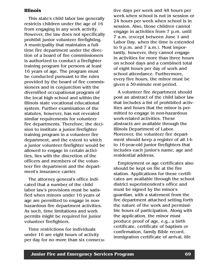## **Illinois**

This state's child labor law generally restricts children under the age of 16 from engaging in any work activity. However, the law does not specifically prohibit junior volunteer firefighting. A municipality that maintains a fulltime fire department under the direction of a board of fire commissioners is authorized to conduct a firefighter training program for persons at least 16 years of age. The program must be conducted pursuant to the rules provided by the board of fire commissioners and in conjunction with the diversified occupational program of the local high school and within the Illinois state vocational educational system. Further examination of the statutes, however, has not revealed similar requirements for volunteer fire departments. Therefore, the decision to institute a junior firefighter training program in a volunteer fire department, and the extent to which a junior volunteer firefighter would be allowed to engage in certain activities, lies with the discretion of the officers and members of the volunteer fire department and the department's insurance carrier.

The attorney general's office indicated that a number of the child labor law's provisions must be satisfied when minors under 16 years of age are permitted to engage in nonhazardous fire department activities. As such, time limitations and work permits might be required for junior volunteer firefighters.

Time restrictions for individuals under 16 are eight hours of activity per day for no more than six consecutive days per week and 48 hours per week when school is not in session or 24 hours per week when school is in session. Also, those children cannot engage in activities from 7 p.m. until 7 a.m. (except between June 1 and Labor Day, when the time is extended to 9 p.m. and 7 a.m.). Most importantly, however, they cannot engage in activities for more than three hours on school days and a combined total of eight hours per day of work and school attendance. Furthermore, every five hours, the minor must be given a 30-minute rest period.

A volunteer fire department should post an abstract of the child labor law that includes a list of prohibited activities and hours that the minor is permitted to engage in non-hazardous work-related activities. These abstracts are available through the Illinois Department of Labor. Moreover, the volunteer fire department should keep a register of all 14 to 16-year-old junior firefighters that includes each junior's name, age and residential address.

Employment or age certificates also should be kept on file at the fire station. Applications for these certificates are available through the school district superintendent's office and must be signed by the minor's guardian, with a statement from the fire department attached setting forth the nature of the work and permissible hours of participation. Along with the application, the minor must produce proof of age, e.g., a birth certificate, certificate of baptism or confirmation, family Bible record, immigration certificate of arrival, life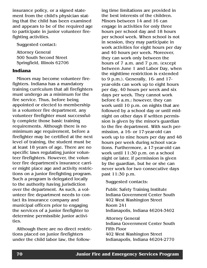insurance policy, or a signed statement from the child's physician stating that the child has been examined and appears to be of the required age to participate in junior volunteer firefighting activities.

Suggested contact:

Attorney General 500 South Second Street Springfield, Illinois 62706

### **Indiana**

Minors may become volunteer firefighters. Indiana has a mandatory training curriculum that all firefighters must undergo as a minimum for the fire service. Thus, before being appointed or elected to membership in a volunteer fire department, any volunteer firefighter must successfully complete those basic training requirements. Although there is no minimum age requirement, before a firefighter may be certified at the next level of training, the student must be at least 18 years of age. There are no specific laws regulating junior volunteer firefighters. However, the volunteer fire department's insurance carrier might place age and activity restrictions on a junior firefighting program. Such a program is delegated locally to the authority having jurisdiction over the department. As such, a volunteer fire department needs to contact its insurance company and municipal officers prior to engaging the services of a junior firefighter to determine permissible junior activities.

Although there are no direct restrictions placed on junior firefighters under the child labor law, the following time limitations are provided in the best interests of the children. Minors between 14 and 16 can engage in activities for only three hours per school day and 18 hours per school week. When school is not in session, they may participate in work activities for eight hours per day and 40 hours per week. Moreover, they can work only between the hours of 7 a.m. and 7 p.m. (except between June 1 and Labor Day, when the nighttime restriction is extended to 9 p.m.). Generally, 16- and 17 year-olds can work up to eight hours per day, 40 hours per week and six days per week. They cannot work before 6 a.m.; however, they can work until 10 p.m. on nights that are followed by a school day or until midnight on other days if written permission is given by the minor's guardian to the fire department. With such permission, a 16- or 17-year-old can work up to nine hours per day and 48 hours per week during school vacations. Furthermore, a 17-year-old can work until 11:30 p.m. on a school night or later, if permission is given by the guardian, but he or she can never work for two consecutive days past 11:30 p.m.

Suggested contacts:

Public Safety Training Institute Indiana Government Center South 402 West Washington Street Room 241 Indianapolis, Indiana 46204-3402

Attorney General Indiana Government Center South Fifth Floor 402 West Washington Street Indianapolis, Indiana 46204-2770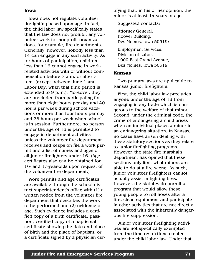### **Iowa**

Iowa does not regulate volunteer firefighting based upon age. In fact, the child labor law specifically states that the law does not prohibit any volunteer work for nonprofit organizations, for example, fire departments. Generally, however, nobody less than 14 can engage in any such activity. As for hours of participation, children less than 16 cannot engage in workrelated activities with or without compensation before 7 a.m. or after 7 p.m. (except between June 1 and Labor Day, when that time period is extended to 9 p.m.). Moreover, they are precluded from participating for more than eight hours per day and 40 hours per week during school vacations or more than four hours per day and 28 hours per week when school is in session. Furthermore, no person under the age of 16 is permitted to engage in department activities unless the volunteer fire department receives and keeps on file a work permit and a list of names and ages of all junior firefighters under 16. (Age certificates also can be obtained for 16- and 17-year-olds upon request of the volunteer fire department.)

Work permits and age certificates are available through the school district superintendent's office with (1) a written notice from the volunteer fire department that describes the work to be performed and (2) evidence of age. Such evidence includes a certified copy of a birth certificate, passport, certified copy of a baptismal certificate showing the date and place of birth and the place of baptism, or a certificate signed by a physician certifying that, in his or her opinion, the minor is at least 14 years of age.

Suggested contacts:

Attorney General, Hoover Building, Des Moines, Iowa 50319;

Employment Services, Division of Labor, 1000 East Grand Avenue, Des Moines, Iowa 50319

#### **Kansas**

Two primary laws are applicable to Kansas' junior firefighters.

First, the child labor law precludes anyone under the age of 18 from engaging in any trade which is dangerous to the welfare of that minor. Second, under the criminal code, the crime of endangering a child arises when an individual places a minor in an endangering situation. In Kansas, no cases have arisen dealing with these statutory sections as they relate to junior firefighting programs. However, the state fire marshal's department has opined that these sections only limit what minors are able to do at a fire scene. As such, junior volunteer firefighters cannot actually assist in fighting fires. However, the statutes do permit a program that would allow these young people to roll hoses after a fire, clean equipment and participate in other activities that are not directly associated with the inherently dangerous fire suppression.

Junior volunteer firefighting activities are not specifically exempted from the time restrictions created under the child labor law. Under that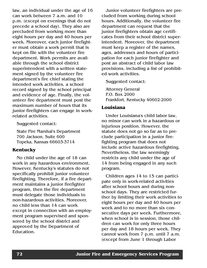law, an individual under the age of 16 can work between 7 a.m. and 10 p.m. (except on evenings that do not precede a school day). They also are precluded from working more than eight hours per day and 40 hours per week. Moreover, each junior firefighter must obtain a work permit that is kept on file with the volunteer fire department. Work permits are available through the school district superintendent with a written statement signed by the volunteer fire department's fire chief stating the intended work activities, a school record signed by the school principal and evidence of age. Finally, the volunteer fire department must post the maximum number of hours that its junior firefighters can engage in workrelated activities.

Suggested contact:

State Fire Marshal's Department 700 Jackson, Suite 600 Topeka, Kansas 66603-3714

# **Kentucky**

No child under the age of 18 can work in any hazardous environment. However, Kentucky's statutes do not specifically prohibit junior volunteer firefighting. Therefore, if a fire department maintains a junior firefighter program, then the fire department must delegate those individuals to non-hazardous activities. Moreover, no child less than 14 can work except in connection with an employment program supervised and sponsored by the school district and approved by the Department of Education.

Junior volunteer firefighters are precluded from working during school hours. Additionally, the volunteer fire department can request that the junior firefighters obtain age certificates from their school district superintendent. Moreover, the department must keep a register of the names, ages, addresses and hours of participation for each junior firefighter and post an abstract of child labor law provisions, including a list of prohibited work activities.

Suggested contact:

Attorney General P.O. Box 2000 Frankfort, Kentucky 40602-2000

### **Louisiana**

Under Louisiana's child labor law, no minor can work in a hazardous or injurious position. However, the statute does not go so far as to preclude participation in a junior firefighting program that does not include active hazardous firefighting. Nevertheless, the law seemingly restricts any child under the age of 14 from being engaged in any such program.

Children ages 14 to 15 can participate only in work-related activities after school hours and during nonschool days. They are restricted further by limiting their work activities to eight hours per day and 40 hours per week and to no more than six consecutive days per week. Furthermore, when school is in session, those children can work for only three hours per day and 18 hours per week. They cannot work from 7 p.m. until 7 a.m. (except from June 1 through Labor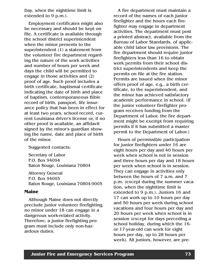Day, when the nighttime limit is extended to 9 p.m.).

Employment certificates might also be necessary and should be kept on file. A certificate is available through the school district superintendent when the minor presents to the superintendent (1) a statement from the volunteer fire department regarding the nature of the work activities and number of hours per week and days the child will be permitted to engage in those activities and (2) proof of age. Such proof includes a birth certificate, baptismal certificate indicating the date of birth and place of baptism, contemporaneous Bible record of birth, passport, life insurance policy that has been in effect for at least two years, school record, current Louisiana driver's license or, if no other proof is available, an affidavit signed by the minor's guardian showing the name, date and place of birth of the minor.

Suggested contacts:

Secretary of Labor P.O. Box 94094 Baton Rouge, Louisiana 70804

Attorney General P.O. Box 94005 Baton Rouge, Louisiana 70804-9005

#### **Maine**

Although Maine does not directly preclude junior volunteer firefighting, no minor under 18 can engage in a dangerous work-related activity. Therefore, a junior firefighting program must include only non-hazardous duties.

A fire department must maintain a record of the names of each junior firefighter and the hours each firefighter may engage in department activities. The department must post a printed abstract, available from the Bureau of Labor Standards, of applicable child labor law provisions. The fire department should require junior firefighters less than 16 to obtain work permits from their school district superintendents and keep the permits on file at the fire station. Permits are issued when the minor offers proof of age, e.g., a birth certificate, to the superintendent, and the minor has achieved satisfactory academic performance in school. (If the junior volunteer firefighter program receives funding from the Department of Labor, the fire department might be exempt from requiring permits if it has submitted a master permit to the Department of Labor.)

Hours of permissible participation for junior firefighters under 16 are eight hours per day and 40 hours per week when school is not in session and three hours per day and 18 hours per week when school is in session. They can engage in activities only between the hours of 7 a.m. and 7 p.m. (except during the summer vacation, when the nighttime limit is extended to 9 p.m.). Juniors 16 and 17 can work up to 10 hours per day and 50 hours per week during school vacations and four hours per day and 20 hours per week when school is in session (except for days preceding a school holiday, during which the 16 or 17-year-old can work for eight hours per day, up to 28 hours per week). All juniors, however, are pre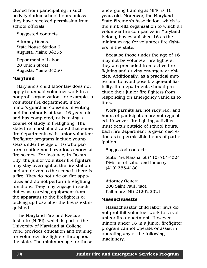cluded from participating in such activity during school hours unless they have received permission from school officials.

Suggested contacts:

Attorney General State House Station 6 Augusta, Maine 04333

Department of Labor 20 Union Street Augusta, Maine 04330

# **Maryland**

Maryland's child labor law does not apply to unpaid volunteer work in a nonprofit organization, for example, a volunteer fire department, if the minor's guardian consents in writing and the minor is at least 16 years old and has completed, or is taking, a course of study in firefighting. The state fire marshal indicated that some fire departments with junior volunteer firefighter programs include youngsters under the age of 16 who perform routine non-hazardous chores at fire scenes. For instance, in Ocean City, the junior volunteer fire fighters may stay overnight at the fire station and are driven to the scene if there is a fire. They do not ride on fire apparatus and do not perform firefighting functions. They may engage in such duties as carrying equipment from the apparatus to the firefighters or picking up hose after the fire is extinguished.

The Maryland Fire and Rescue Institute (MFRI), which is part of the University of Maryland at College Park, provides education and training for volunteer fire fighters throughout the state. The minimum age for those undergoing training at MFRI is 16 years old. Moreover, the Maryland State Firemen's Association, which is the umbrella organization to which all volunteer fire companies in Maryland belong, has established 16 as the minimum age for volunteer fire fighters in the state.

Because those under the age of 16 may not be volunteer fire fighters, they are precluded from active fire fighting and driving emergency vehicles. Additionally, as a practical matter and to avoid possible general liability, fire departments should preclude their junior fire fighters from responding on emergency vehicles to fires.

Work permits are not required, and hours of participation are not regulated. However, fire fighting activities must occur outside of school hours. Each fire department is given discretion as to permissible hours of participation.

Suggested contact:

State Fire Marshal at (410) 764-4324 Division of Labor and Industry (410) 333-4180

Attorney General 200 Saint Paul Place Baltimore, MD 21202-2021

### **Massachusetts**

Massachusetts' child labor laws do not prohibit volunteer work for a volunteer fire department. However, minors under 16 in a junior firefighter program cannot operate or assist in operating any of the following machinery: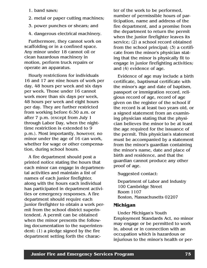- 1. band saws;
- 2. metal or paper cutting machines;
- 3. power punches or shears; and
- 4. dangerous electrical machinery.

Furthermore, they cannot work on scaffolding or in a confined space. Any minor under 18 cannot oil or clean hazardous machinery in motion, perform truck repairs or operate an apparatus.

Hourly restrictions for individuals 16 and 17 are nine hours of work per day, 48 hours per week and six days per week. Those under 16 cannot work more than six days per week, 48 hours per week and eight hours per day. They are further restricted from working before 6:30 a.m. or after 7 p.m. (except from July 1 through Labor Day, when the nighttime restriction is extended to 9 p.m.). Most importantly, however, no minor under the age of 16 can work, whether for wage or other compensation, during school hours.

A fire department should post a printed notice stating the hours that each minor can engage in departmental activities and maintain a list of names of each junior firefighter, along with the hours each individual has participated in department activities or emergency responses. A fire department should require each junior firefighter to obtain a work permit from the school district superintendent. A permit can be obtained when the minor presents the following documentation to the superintendent: (1) a pledge signed by the fire department setting forth the charac-

ter of the work to be performed, number of permissible hours of participation, name and address of the fire department, and a promise from the department to return the permit when the junior firefighter leaves its service; (2) a school record obtained from the school principal; (3) a certificate from the minor's physician stating that the minor is physically fit to engage in junior firefighting activities; and (4) evidence of age.

Evidence of age may include a birth certificate, baptismal certificate with the minor's age and date of baptism, passport or immigration record, religious record of age, record of age given on the register of the school if the record is at least two years old, or a signed statement from an examining physician stating that the physician believes the minor to be at least the age required for the issuance of the permit. This physician's statement must be accompanied by a statement from the minor's guardian containing the minor's name, date and place of birth and residence, and that the guardian cannot produce any other proof of age.

Suggested contact:

Department of Labor and Industry 100 Cambridge Street Room 1107 Boston, Massachusetts 02207

# **Michigan**

Under Michigan's Youth Employment Standards Act, no minor may engage or be permitted to work in, about or in connection with an occupation which is hazardous or injurious to the minor's health or per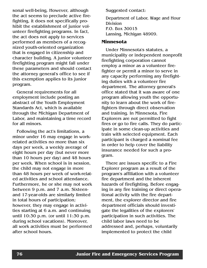sonal well-being. However, although the act seems to preclude active firefighting, it does not specifically prohibit the establishment of junior volunteer firefighting programs. In fact, the act does not apply to services performed as members of a recognized youth-oriented organization that is engaged in citizenship and character building. A junior volunteer firefighting program might fall under these parameters and should contact the attorney general's office to see if this exemption applies to its junior program.

General requirements for all employment include posting an abstract of the Youth Employment Standards Act, which is available through the Michigan Department of Labor, and maintaining a time record for all minors.

Following the act's limitations, a minor under 16 may engage in workrelated activities no more than six days per week, a weekly average of eight hours per day (but never more than 10 hours per day) and 48 hours per week. When school is in session, the child may not engage in more than 48 hours per week of work-related activities and school attendance. Furthermore, he or she may not work between 9 p.m. and 7 a.m. Sixteenand 17-year-olds are similarly limited in total hours of participation; however, they may engage in activities starting at 6 a.m. and continuing until 10:30 p.m. (or until 11:30 p.m. during school vacations). Moreover, all work activities must be performed after school hours.

Suggested contact:

Department of Labor, Wage and Hour Division P.O. Box 30015 Lansing, Michigan 48909.

# **Minnesota**

Under Minnesota's statutes, a municipality or independent nonprofit firefighting corporation cannot employ a minor as a volunteer firefighter or permit a minor to serve in any capacity performing any firefighting duties with a volunteer fire department. The attorney general's office stated that it was aware of one program allowing youth the opportunity to learn about the work of firefighters through direct observation and training. In Minnesota, Fire Explorers are not permitted to fight fires or go to fire calls. They do participate in some clean-up activities and train with selected equipment. Each participant is charged a nominal fee in order to help cover the liability insurance needed for such a program.

There are issues specific to a Fire Explorer program as a result of the program's affiliation with a volunteer fire department and the inherent hazards of firefighting. Before engaging in any fire training or direct operational activity with the fire department, the explorer director and fire department officials should investigate the legalities of the explorers' participation in such activities. The child labor laws need to be addressed and, perhaps, voluntarily implemented to protect the child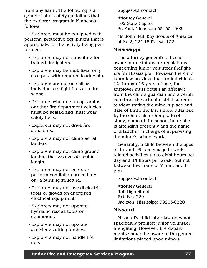from any harm. The following is a generic list of safety guidelines that the explorer program in Minnesota follows:

• Explorers must be equipped with personal protective equipment that is appropriate for the activity being performed.

- Explorers may not substitute for trained firefighters.
- Explorers may be mobilized only as a post with required leadership.
- Explorers are not on call as individuals to fight fires at a fire scene.
- Explorers who ride on apparatus or other fire department vehicles must be seated and must wear safety belts.
- Explorers may not drive fire apparatus.
- Explorers may not climb aerial ladders.
- Explorers may not climb ground ladders that exceed 35 feet in length.
- Explorers may not enter, or perform ventilation procedures on, a burning structure.
- Explorers may not use di-electric tools or gloves on energized electrical equipment.
- Explorers may not operate hydraulic rescue tools or equipment.
- Explorers may not operate acetylene cutting torches.
- Explorers may not handle life nets.

Suggested contact:

Attorney General 102 State Capitol St. Paul, Minnesota 55155-1002

Mr. John Heil, Boy Scouts of America, at (612) 224-1892, ext. 132

# **Mississippi**

The attorney general's office is aware of no statutes or regulations concerning junior volunteer firefighters for Mississippi. However, the child labor law provides that for individuals 14 through 16 years of age, the employer must obtain an affidavit from the child's guardian and a certificate from the school district superintendent stating the minor's place and date of birth, the last school attended by the child, his or her grade of study, name of the school he or she is attending presently and the name of a teacher in charge of supervising the minor's school work.

Generally, a child between the ages of 14 and 16 can engage in workrelated activities up to eight hours per day and 44 hours per week, but not between the hours of 7 p.m. and 6 p.m.

Suggested contact:

Attorney General 450 High Street P.O. Box 220 Jackson, Mississippi 39205-0220

# **Missouri**

Missouri's child labor law does not specifically prohibit junior volunteer firefighting. However, fire departments should be aware of the general limitations placed upon minors.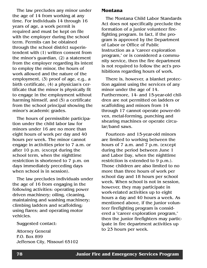The law precludes any minor under the age of 14 from working at any time. For individuals 14 through 16 years of age, a work permit is required and must be kept on file with the employer during the school term. Permits can be obtained through the school district superintendent with (1) written consent from the minor's guardian, (2) a statement from the employer regarding its intent to employ the minor, the hours of work allowed and the nature of the employment, (3) proof of age, e.g., a birth certificate, (4) a physician's certificate that the minor is physically fit to engage in the employment without harming himself, and (5) a certificate from the school principal showing the minor's academic grades.

The hours of permissible participation under the child labor law for minors under 16 are no more than eight hours of work per day and 40 hours per week. The minor cannot engage in activities prior to 7 a.m. or after 10 p.m. (except during the school term, when the nighttime restriction is shortened to 7 p.m. on days immediately preceding days when school is in session).

The law precludes individuals under the age of 16 from engaging in the following activities: operating power driven machinery; oiling, cleaning, maintaining and washing machinery; climbing ladders and scaffolding; using flares; and operating motor vehicles.

Suggested contact:

Attorney General P.O. Box 899 Jefferson City, Missouri 65102

#### **Montana**

The Montana Child Labor Standards Act does not specifically preclude the formation of a junior volunteer firefighting program. In fact, if the program is approved by the Department of Labor or Office of Public Instruction as a "career exploration program," or is considered a community service, then the fire department is not required to follow the act's prohibitions regarding hours of work.

There is, however, a blanket protection against using the services of any minor under the age of 14. Furthermore, 14- and 15-year-old children are not permitted on ladders or scaffolding and minors from 14 through 17 cannot operate power-driven, metal-forming, punching and shearing machines or operate circular/band saws.

Fourteen- and 15-year-old minors are limited to working between the hours of 7 a.m. and 7 p.m. (except during the period between June 1 and Labor Day, when the nighttime restriction is extended to 9 p.m.). Those children are also limited to no more than three hours of work per school day and 18 hours per school week. When school is not in session, however, they may participate in work-related activities up to eight hours a day and 40 hours a week. As mentioned above, if the junior volunteer firefighting program is considered a "career exploration program," then the junior firefighters may participate in fire department activities up to 23 hours per week.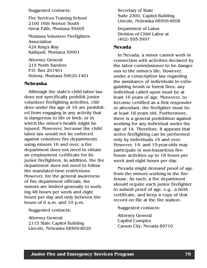### Suggested contacts:

Fire Services Training School 2100 16th Avenue South Great Falls, Montana 59405

Montana Volunteer Firefighters Association 424 King's Way Kalispell, Montana 59901

Attorney General 215 North Sanders P.O. Box 201401 Helena, Montana 59620-1401

### **Nebraska**

Although the state's child labor law does not specifically prohibit junior volunteer firefighting activities, children under the age of 16 are prohibited from engaging in any activity that is dangerous to life or limb, or in which the minor's health might be injured. Moreover, because the child labor law would not be enforced against volunteer fire departments using minors 16 and over, a fire department does not need to obtain an employment certificate for its junior firefighters. In addition, the fire department does not need to follow the mandated time restrictions. However, for the general awareness of fire department officials, the minors are limited generally to working 48 hours per week and eight hours per day and only between the hours of 6 a.m. and 10 p.m.

Suggested contacts:

Attorney General 2115 State Capitol Building Lincoln, Nebraska 68509-8920 Secretary of State Suite 2300, Capitol Building Lincoln, Nebraska 68509-4608

Department of Labor Division of Child Labor at (402) 595-3997

### **Nevada**

In Nevada, a minor cannot work in connection with activities declared by the labor commissioner to be dangerous to the minor's life. However, under a conscription law regarding the assistance of individuals in extinguishing brush or forest fires, any individual called upon must be at least 16 years of age. Moreover, to become certified as a first responder or attendant, the firefighter must be at least 18 years old. Furthermore, there is a general prohibition against working for any individual under the age of 14. Therefore, it appears that active firefighting can be performed only by individuals 16 and over. However, 14- and 15-year-olds may participate in non-hazardous firehouse activities up to 18 hours per week and eight hours per day.

Nevada might demand proof of age from the minors working in the firehouse. As such, a fire department should require each junior firefighter to submit proof of age, e.g., a birth certificate, and keep a copy of that record on file at the fire station.

Suggested contacts:

Attorney General Capitol Complex Carson City, Nevada 89710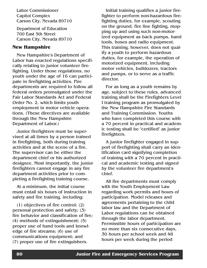Labor Commissioner Capitol Complex Carson City, Nevada 89710

Department of Education 700 East 5th Street Carson City, Nevada 89710

# **New Hampshire**

New Hampshire's Department of Labor has enacted regulations specifically relating to junior volunteer firefighting. Under those regulations, no youth under the age of 16 can participate in firefighting activities. Fire departments are required to follow all federal orders promulgated under the Fair Labor Standards Act and Federal Order No. 2, which limits youth employment in motor vehicle operations. (These directives are available through the New Hampshire Department of Labor.)

Junior firefighters must be supervised at all times by a person trained in firefighting, both during training activities and at the scene of a fire. The supervisor can be either the department chief or his authorized designee. Most importantly, the junior firefighters cannot engage in any fire department activities prior to completing a firefighting training course.

At a minimum, the initial course must entail six hours of instruction in safety and fire training, including:

(1) objectives of fire control; (2) personal protection and safety; (3) fire behavior and classification of fire; (4) methods of extinguishment; (5) proper use of hand tools and knowledge of fire streams; (6) use of communications equipment; and (7) proper use of fire extinguishers.

Initial training qualifies a junior firefighter to perform non-hazardous firefighting duties, for example, scouting on the ground, fire line fighting, mopping up and using such non-motorized equipment as back pumps, hand tools, hoses and radio equipment. This training, however, does not qualify a youth to perform hazardous duties, for example, the operation of motorized equipment, including motor vehicles, bulldozers, tractors and pumps, or to serve as a traffic director.

For as long as a youth remains by age, subject to these rules, advanced training shall be the Firefighters Level I training program as promulgated by the New Hampshire Fire Standards and Training Commission. Youths who have completed this course with a 70 percent in practical and academic testing shall be "certified" as junior firefighters.

A junior firefighter engaged in support of firefighting shall carry an identification card signifying completion of training with a 70 percent in practical and academic testing and signed by the volunteer fire department's chief.

All fire departments must comply with the Youth Employment Law regarding work permits and hours of participation. Model releases and agreements pertaining to the child labor law and the Department of Labor regulations can be obtained through the labor department. Permissible hours of participation are no more than six consecutive days, 30 hours per school week and 48 hours per week during the period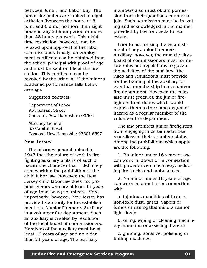between June 1 and Labor Day. The junior firefighters are limited to night activities (between the hours of 8 p.m. and 6 a.m.) no more than eight hours in any 24-hour period or more than 48 hours per week. This nighttime restriction, however, may be relaxed upon approval of the labor commissioner. Finally, an employment certificate can be obtained from the school principal with proof of age and must be kept on file at the fire station. This certificate can be revoked by the principal if the minor's academic performance falls below average.

Suggested contacts:

Department of Labor 95 Pleasant Street Concord, New Hampshire 03301

Attorney General 33 Capitol Street Concord, New Hampshire 03301-6397

### **New Jersey**

The attorney general opined in 1943 that the nature of work in firefighting auxiliary units is of such a hazardous character that it definitely comes within the prohibition of the child labor law. However, the New Jersey child labor law does not prohibit minors who are at least 14 years of age from being volunteers. More importantly, however, New Jersey has provided statutorily for the establishment of a "Junior Firemen's Auxiliary" in a volunteer fire department. Such an auxiliary is created by resolution of the local board of commissioners. Members of the auxiliary must be at least 16 years of age and no older than 21 years of age. The auxiliary

members also must obtain permission from their guardians in order to join. Such permission must be in writing and acknowledged in the manner provided by law for deeds to real estate.

Prior to authorizing the establishment of any Junior Firemen's Auxiliary, however, the municipality's board of commissioners must formulate rules and regulations to govern the activities of the auxiliary. The rules and regulations must provide for the training of the auxiliary for eventual membership in a volunteer fire department. However, the rules also must preclude the junior firefighters from duties which would expose them to the same degree of hazard as a regular member of the volunteer fire department.

The law prohibits junior firefighters from engaging in certain activities regardless of their volunteer status. Among the prohibitions which apply are the following:

1. No minor under 16 years of age can work in, about or in connection with power-driven machinery, including fire trucks and ambulances.

2. No minor under 18 years of age can work in, about or in connection with:

a. injurious quantities of toxic or non-toxic dust, gases, vapors or fumes (meaning that minors cannot fight fires);

b. oiling, wiping or cleaning machinery in motion or assisting therein;

c. grinding, abrasive, polishing or buffing machines;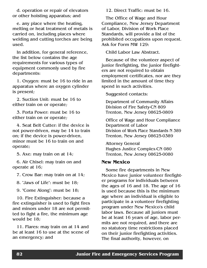d. operation or repair of elevators or other hoisting apparatus; and

e. any place where the heating, melting or heat treatment of metals is carried on, including places where welding and cutting torches are being used.

In addition, for general reference, the list below contains the age requirements for various types of equipment commonly used by fire departments:

1. Oxygen: must be 16 to ride in an apparatus where an oxygen cylinder is present;

2. Suction Unit: must be 16 to either train on or operate;

3. Porta Power: must be 16 to either train on or operate;

4. Seat Belt Cutter: if the device is not power-driven, may be 14 to train on; if the device is power-driven, minor must be 16 to train on and operate;

5. Axe: may train on at 14;

6. Air Chisel: may train on and operate at 16;

7. Crow Bar: may train on at 14;

8. "Jaws of Life": must be 18;

9. "Come Along": must be 18;

10. Fire Extinguisher: because a fire extinguisher is used to fight fires and minors under 18 are not permitted to fight a fire, the minimum age would be 18;

11. Flares: may train on at 14 and be at least 16 to use at the scene of an emergency; and

12. Direct Traffic: must be 16.

The Office of Wage and Hour Compliance, New Jersey Department of Labor, Division of Work Place Standards, will provide a list of the prohibited occupations upon request. Ask for Form MW 129:

Child Labor Law Abstract.

Because of the volunteer aspect of junior firefighting, the junior firefighters are not required to obtain employment certificates, nor are they limited in the amount of time they spend in such activities.

Suggested contacts:

Department of Community Affairs Division of Fire Safety-CN 809 Trenton, New Jersey 08625-0809

Office of Wage and Hour Compliance Department of Labor Division of Work Place Standards N 389 Trenton, New Jersey 08625-0389

Attorney General Hughes Justice Complex-CN 080 Trenton, New Jersey 08625-0080

### **New Mexico**

Some fire departments in New Mexico have junior volunteer firefighter programs for individuals between the ages of 16 and 18. The age of 16 is used because this is the minimum age where an individual is eligible to participate in a volunteer firefighting program under New Mexico's child labor laws. Because all juniors must be at least 16 years of age, labor permits are not required, and there are no statutory time restrictions placed on their junior firefighting activities. The final authority, however, on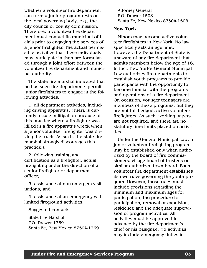whether a volunteer fire department can form a junior program rests on the local governing body, e.g., the city council or county commission. Therefore, a volunteer fire department must contact its municipal officials prior to engaging the services of a junior firefighter. The actual permissible activities that these individuals may participate in then are formulated through a joint effort between the volunteer fire department and municipal authority.

The state fire marshal indicated that he has seen fire departments permit junior firefighters to engage in the following activities:

1. all department activities, including driving apparatus. (There is currently a case in litigation because of this practice where a firefighter was killed in a fire apparatus wreck when a junior volunteer firefighter was driving the truck. As such, the state fire marshal strongly discourages this practice.);

2. following training and certification as a firefighter, actual firefighting under the direction of a senior firefighter or department officer;

3. assistance at non-emergency situations; and

4. assistance at an emergency with limited fireground activities.

Suggested contacts:

State Fire Marshal P.O. Drawer 1269 Santa Fe, New Mexico 87504-1269 Attorney General P.O. Drawer 1508 Santa Fe, New Mexico 87504-1508

#### **New York**

Minors may become active volunteer firefighters in New York. No law specifically sets an age limit. However, the Department of State is unaware of any fire department that admits members below the age of 16. In fact, New York's General Municipal Law authorizes fire departments to establish youth programs to provide participants with the opportunity to become familiar with the programs and operations of a fire department. On occasion, younger teenagers are members of these programs, but they are not full-fledged, active volunteer firefighters. As such, working papers are not required, and there are no statutory time limits placed on activities.

Under the General Municipal Law, a junior volunteer firefighting program may be established only when authorized by the board of fire commissioners, village board of trustees or similar authorized town board. Each volunteer fire department establishes its own rules governing the youth program. However, those rules must include provisions regarding the minimum and maximum ages for participation, the procedure for participation, removal or expulsion, residence and the adequate supervision of program activities. All activities must be approved in advance by the fire department's chief or his designee. No activities may include emergency duties in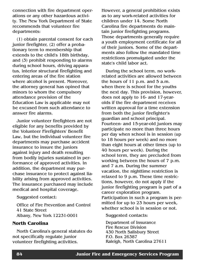connection with fire department operations or any other hazardous activity. The New York Department of State recommends that volunteer fire departments:

(1) obtain parental consent for each junior firefighter, (2) offer a probationary term to membership that extends to the child's 18th birthday, and (3) prohibit responding to alarms during school hours, driving apparatus, interior structural firefighting and entering areas of the fire station where alcohol is present. Moreover, the attorney general has opined that minors to whom the compulsory attendance provision of the Education Law is applicable may not be excused from such attendance to answer fire alarms.

Junior volunteer firefighters are not eligible for any benefits provided by the Volunteer Firefighters' Benefit Law, but the individual volunteer fire departments may purchase accident insurance to insure the juniors against injury and death resulting from bodily injuries sustained in performance of approved activities. In addition, the department may purchase insurance to protect against liability arising from approved activities. The insurance purchased may include medical and hospital coverage.

Suggested contact:

Office of Fire Prevention and Control 41 State Street Albany, New York 12231-0001

# **North Carolina**

North Carolina's general statutes do not specifically regulate junior volunteer firefighting activities.

However, a general prohibition exists as to any work-related activities for children under 14. Some North Carolina fire departments do maintain junior firefighting programs. Those departments generally require a youth employment certificate for all of their juniors. Some of the departments also follow the mandated time restrictions promulgated under the state's child labor act.

During the school term, no workrelated activities are allowed between the hours of  $11$  p.m. and  $5$  a.m. when there is school for the youths the next day. This provision, however, does not apply to 16- and 17-yearolds if the fire department receives written approval for a time extension from both the junior firefighter's guardian and school principal. Fourteen- and 15-year-old juniors may participate no more than three hours per day when school is in session (up to 18 hours per week) and no more than eight hours at other times (up to 40 hours per week). During the school term, they are precluded from working between the hours of 7 p.m. and 7 a.m. During the summer vacation, the nighttime restriction is relaxed to 9 p.m. These time restrictions, however, do not apply if the junior firefighting program is part of a career exploration program. Participation in such a program is permitted for up to 23 hours per week, whether school is in session or not.

Suggested contacts:

Department of Insurance Fire Rescue Division 430 North Salisbury Street P.O. Box 26387 Raleigh, North Carolina 27611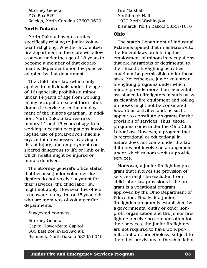Attorney General P.O. Box 629 Raleigh, North Carolina 27602-0629

# **North Dakota**

North Dakota has no statutes specifically relating to junior volunteer firefighting. Whether a volunteer fire department in the state will allow a person under the age of 18 years to become a member of that department is dependent upon the policies adopted by that department.

The child labor law (which only applies to individuals under the age of 16) generally prohibits a minor under 14 years of age from working in any occupation except farm labor, domestic service or in the employment of the minor's guardian. In addition, North Dakota law restricts minors 14 and 15 years of age from working in certain occupations involving the use of power-driven machinery, certain businesses involving a risk of injury, and employment considered dangerous to life or limb or in which health might be injured or morals deprived.

The attorney general's office stated that because junior volunteer firefighters do not receive payment for their services, the child labor law might not apply. However, the office is unaware of any 14- or 15-year-olds who are members of volunteer fire departments.

Suggested contacts:

Attorney General Capitol Tower-State Capitol 600 East Boulevard Avenue Bismarck, North Dakota 58505-0040 Fire Marshal Northbrook Mall 1929 North Washington Bismarck, North Dakota 58501-1616

# **Ohio**

The state's Department of Industrial Relations opined that in adherence to the federal laws prohibiting the employment of minors in occupations that are hazardous or detrimental to their health, firefighting activities could not be permissible under those laws. Nevertheless, junior volunteer firefighting programs under which minors provide more than incidental assistance to firefighters in such tasks as cleaning fire equipment and rolling up hoses might not be considered hazardous activities and, as such, appear to constitute programs for the provision of services. Thus, those programs come under the Ohio Child Labor Law. However, a program that is recreational or educational in nature does not come under the law if it does not involve an arrangement under which minors work or provide services.

Moreover, a junior firefighting program that involves the provision of services might be excluded from child labor law provisions if the program is a vocational program approved by the Ohio Department of Education. Finally, if a junior firefighting program is established by a governmental entity or other nonprofit organization and the junior firefighters receive no compensation for their services, the junior firefighters are not required to have work permits, but are, nonetheless, subject to the other provisions of the child labor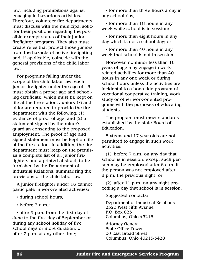law, including prohibitions against engaging in hazardous activities. Therefore, volunteer fire departments must discuss with the municipal solicitor their positions regarding the possible exempt status of their junior firefighter programs. They also must create rules that protect those juniors from the hazards of active firefighting and, if applicable, coincide with the general provisions of the child labor law.

For programs falling under the scope of the child labor law, each junior firefighter under the age of 16 must obtain a proper age and schooling certificate, which must be kept on file at the fire station. Juniors 16 and older are required to provide the fire department with the following: (1) evidence of proof of age, and (2) a statement signed by the minor's guardian consenting to the proposed employment. The proof of age and signed statement must be kept on file at the fire station. In addition, the fire department must keep on the premises a complete list of all junior firefighters and a printed abstract, to be furnished by the Department of Industrial Relations, summarizing the provisions of the child labor law.

A junior firefighter under 16 cannot participate in work-related activities:

- during school hours;
- before 7 a.m.;

• after 9 p.m. from the first day of June to the first day of September or during any school holiday of five school days or more duration, or after 7 p.m. at any other time;

• for more than three hours a day in any school day;

• for more than 18 hours in any week while school is in session;

• for more than eight hours in any day which is not a school day; or

• for more than 40 hours in any week that school is not in session.

Moreover, no minor less than 16 years of age may engage in workrelated activities for more than 40 hours in any one week or during school hours unless the activities are incidental to a bona fide program of vocational cooperative training, work study or other work-oriented programs with the purposes of educating students.

The program must meet standards established by the state Board of Education.

Sixteen- and 17-year-olds are not permitted to engage in such work activities:

(1) before 7 a.m. on any day that school is in session, except such person may be employed after 6 a.m. if the person was not employed after 8 p.m. the previous night, or

(2) after 11 p.m. on any night preceding a day that school is in session.

Suggested contacts:

Department of Industrial Relations 2323 West Fifth Avenue P.O. Box 825 Columbus, Ohio 43216

Attorney General State Office Tower 30 East Broad Street Columbus, Ohio 43215-3428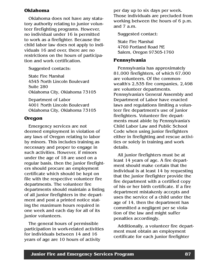### **Oklahoma**

Oklahoma does not have any statutory authority relating to junior volunteer firefighting programs. However, no individual under 16 is permitted to work as a firefighter. Because the child labor law does not apply to individuals 16 and over, there are no restrictions on the hours of participation and work certification.

Suggested contacts:

State Fire Marshal 4545 North Lincoln Boulevard Suite 280 Oklahoma City, Oklahoma 73105

Department of Labor 4001 North Lincoln Boulevard Oklahoma City, Oklahoma 73105

### **Oregon**

Emergency services are not deemed employment in violation of any laws of Oregon relating to labor by minors. This includes training as necessary and proper to engage in such activities. However, if minors under the age of 18 are used on a regular basis, then the junior firefighters should procure an employment certificate which should be kept on file with the respective volunteer fire departments. The volunteer fire departments should maintain a listing of all junior firefighters in the department and post a printed notice stating the maximum hours required in one week and each day for all of its junior volunteers.

The general hours of permissible participation in work-related activities for individuals between 14 and 16 years of age are 10 hours of activity

per day up to six days per week. Those individuals are precluded from working between the hours of 6 p.m. and 7 a.m.

Suggested contact:

State Fire Marshal 4760 Portland Road NE Salem, Oregon 97305-1760

### **Pennsylvania**

Pennsylvania has approximately 81,000 firefighters, of which 67,000 are volunteers. Of the commonwealth's 2,535 fire companies, 2,498 are volunteer departments. Pennsylvania's General Assembly and Department of Labor have enacted laws and regulations limiting a volunteer fire department's use of junior firefighters. Volunteer fire departments must abide by Pennsylvania's Child Labor Law and Public School Code when using junior firefighters either in firefighting and rescue activities or solely in training and work details.

All junior firefighters must be at least 14 years of age. A fire department should make certain that the individual is at least 14 by requesting that the junior firefighter provide the fire department with a certified copy of his or her birth certificate. If a fire department mistakenly accepts and uses the service of a child under the age of 14, then the department has committed a negligent per se violation of the law and might suffer penalties accordingly.

Additionally, a volunteer fire department must obtain an employment certificate for each junior firefighter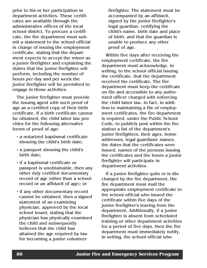prior to his or her participation in department activities. These certificates are available through the administrative offices of the local school district. To procure a certificate, the fire department must submit a statement to the school official in charge of issuing the employment certificate, stating that the department expects to accept the minor as a junior firefighter and explaining the duties that the junior firefighter will perform, including the number of hours per day and per week the junior firefighter will be permitted to engage in those activities.

The junior firefighter must provide the issuing agent with such proof of age as a certified copy of their birth certificate. If a birth certificate cannot be obtained, the child labor law provides for the following alternative forms of proof of age:

- a notarized baptismal certificate showing the child's birth date;
- a passport showing the child's birth date;
- if a baptismal certificate or passport is unobtainable, then any other duly certified documentary record of age (other than a school record or an affidavit of age); or
- if any other documentary record cannot be obtained, then a signed statement of an examining physician, approved by the local school board, stating that the physician has physically examined the child and subsequently believes that the child has attained the age required by law for becoming a junior volunteer

firefighter. The statement must be accompanied by an affidavit, signed by the junior firefighter's legal guardian, certifying the child's name, birth date and place of birth, and that the guardian is unable to produce any other proof of age.

Within five days after receiving the employment certificate, the fire department must acknowledge, in writing, to the school official issuing the certificate, that the department received the certificate. The fire department must keep the certificate on file and accessible to any authorized officer charged with enforcing the child labor law. In fact, in addition to maintaining a file of employment certificates, the fire department is required, under the Public School Code, to publicly post within the fire station a list of the department's junior firefighters, their ages, home addresses, legal guardians' names, the dates that the certificates were issued, names of the persons issuing the certificates and the hours a junior firefighter will participate in department activities.

If a junior firefighter quits or is discharged by the fire department, the fire department must mail the appropriate employment certificate to the school official who issued the certificate within five days of the junior firefighter's leaving from the department. Additionally, if a junior firefighter is absent from scheduled training or other department activities for a period of five days, then the fire department must immediately notify, in writing, the school official who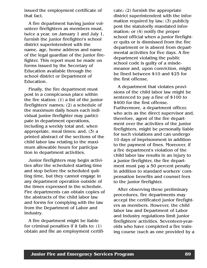issued the employment certificate of that fact.

A fire department having junior volunteer firefighters as members must, twice a year, on January 1 and July 1, furnish the junior firefighter's school district superintendent with the name, age, home address and name of the legal guardian of the junior firefighter. This report must be made on forms issued by the Secretary of Education available through the school district or Department of Education.

Finally, the fire department must post in a conspicuous place within the fire station: (1) a list of the junior firefighters' names; (2) a schedule of the maximum daily hours each individual junior firefighter may participate in department operations, including a weekly total and, when appropriate, meal times; and, (3) a printed abstract of the sections of the child labor law relating to the maximum allowable hours for participation in department activities.

Junior firefighters may begin activities after the scheduled starting time and stop before the scheduled quitting time, but they cannot engage in any department operation outside of the times expressed in the schedule. Fire departments can obtain copies of the abstracts of the child labor law and forms for complying with the law from the Department of Labor and Industry.

A fire department might be liable for criminal penalties if it fails to: (1) obtain and file an employment certifi-

cate; (2) furnish the appropriate district superintendent with the information required by law; (3) publicly post the statutorily mandated information; or (4) notify the proper school official when a junior firefighter quits or is dismissed from the fire department or is absent from departmental activities for five days. A fire department violating the public school code is guilty of a misdemeanor and, upon conviction, might be fined between \$10 and \$25 for the first offense.

A department that violates provisions of the child labor law might be sentenced to pay a fine of \$100 to \$400 for the first offense. Furthermore, a department officer, who acts as the direct supervisor and, therefore, agent of the fire department over the activities of the junior firefighters, might be personally liable for such violations and can undergo 10 days of imprisonment in addition to the payment of fines. Moreover, if a fire department's violation of the child labor law results in an injury to a junior firefighter, the fire department must pay a 50 percent penalty in addition to standard workers' compensation benefits and counsel fees to the junior firefighter.

After observing these preliminary procedures, fire departments may accept the certificated junior firefighters as members. However, the child labor law and Department of Labor and Industry regulations limit junior firefighters' activities. Seventeen-yearolds who have completed a fire training course (such as one provided by a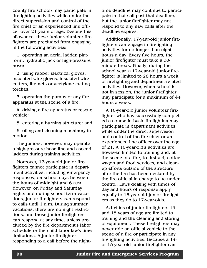county fire school) may participate in firefighting activities while under the direct supervision and control of the fire chief or an experienced line officer over 21 years of age. Despite this allowance, these junior volunteer firefighters are precluded from engaging in the following activities:

1. operating an aerial ladder, platform, hydraulic jack or high-pressure hose;

2. using rubber electrical gloves, insulated wire gloves, insulated wire cutters, life nets or acetylene cutting torches;

3. operating the pumps of any fire apparatus at the scene of a fire;

4. driving a fire apparatus or rescue vehicle;

5. entering a burning structure; and

6. oiling and cleaning machinery in motion.

The juniors, however, may operate a high-pressure hose line and ascend ladders during training activities.

Moreover, 17-year-old junior firefighters cannot participate in department activities, including emergency responses, on school days between the hours of midnight and 6 a.m. However, on Friday and Saturday nights and during school term vacations, junior firefighters can respond to calls until 1 a.m. During summer vacations, there are no night restrictions, and these junior firefighters can respond at any time, unless precluded by the fire department's labor schedule or the child labor law's time limitations. A junior firefighter responding to a call before the nighttime deadline may continue to participate in that call past that deadline, but the junior firefighter may not respond to any new calls after the deadline expires.

Additionally, 17-year-old junior firefighters can engage in firefighting activities for no longer than eight hours a day. Every five hours, the junior firefighter must take a 30 minute break. Finally, during the school year, a 17-year-old junior firefighter is limited to 28 hours a week of firefighting and department-related activities. However, when school is not in session, the junior firefighter may participate for a maximum of 44 hours a week.

A 16-year-old junior volunteer firefighter who has successfully completed a course in basic firefighting may participate in department activities while under the direct supervision and control of the fire chief or an experienced line officer over the age of 21. A 16-year-old's activities are, however, limited to training and, at the scene of a fire, to first aid, coffee wagon and food services, and cleanup efforts outside of the structure after the fire has been declared by the fire official in charge to be under control. Laws dealing with times of day and hours of response apply equally to 16-year-old junior firefighters as they do to 17-year-olds.

Activities of junior firefighters 14 and 15 years of age are limited to training and the cleaning and storing of equipment. These firefighters may never ride an official vehicle to the scene of a fire or participate in any firefighting activities. Because a 14 or 15-year-old junior firefighter can-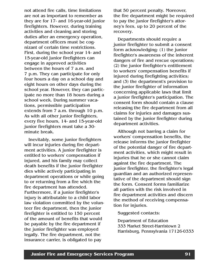not attend fire calls, time limitations are not as important to remember as they are for 17- and 16-year-old junior firefighters. However, during training activities and cleaning and storing duties after an emergency operation, department officers must be cognizant of certain time restrictions. First, during the school year 14- and 15-year-old junior firefighters can engage in approved activities between the hours of 7 a.m. and 7 p.m. They can participate for only four hours a day on a school day and eight hours on other days during the school year. However, they can participate no more than 18 hours during a school week. During summer vacations, permissible participation extends from 7 a.m. through 10 p.m. As with all other junior firefighters, every five hours, 14- and 15-year-old junior firefighters must take a 30 minute break.

Inevitably, some junior firefighters will incur injuries during fire department activities. A junior firefighter is entitled to workers' compensation if injured, and his family may collect death benefits if the junior firefighter dies while actively participating in department operations or while going to or returning from a fire which the fire department has attended. Furthermore, if a junior firefighter's injury is attributable to a child labor law violation committed by the volunteer fire department, then the junior firefighter is entitled to 150 percent of the amount of benefits that would be payable by the fire department if the junior firefighter was employed legally. The fire department, not the insurance carrier, is obligated to pay

that 50 percent penalty. Moreover, the fire department might be required to pay the junior firefighter's attorney's fees, up to 20 percent of the recovery.

Departments should require a junior firefighter to submit a consent form acknowledging: (1) the junior firefighter's awareness of the inherent dangers of fire and rescue operations; (2) the junior firefighter's entitlement to workers' compensation benefits if injured during firefighting activities; and (3) the department's provision to the junior firefighter of information concerning applicable laws that limit a junior firefighter's participation. The consent form should contain a clause releasing the fire department from all claims for injuries and damages sustained by the junior firefighter during department activities.

Although not barring a claim for workers' compensation benefits, the release informs the junior firefighter of the potential danger of fire department activities, which might result in injuries that he or she cannot claim against the fire department. The junior firefighter, the firefighter's legal guardian and an authorized representative of the department should sign the form. Consent forms familiarize all parties with the risk involved in fire department activities and discern the method of receiving compensation for injuries.

Suggested contacts:

Department of Education 333 Market Street-Harristown 2 Harrisburg, Pennsylvania 17126-0333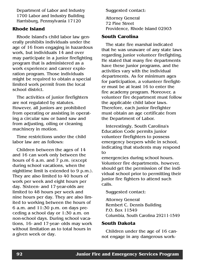Department of Labor and Industry 1700 Labor and Industry Building Harrisburg, Pennsylvania 17120

# **Rhode Island**

Rhode Island's child labor law generally prohibits individuals under the age of 16 from engaging in hazardous work, but individuals 14 and over may participate in a junior firefighting program that is administered as a work experience and career exploration program. Those individuals might be required to obtain a special limited work permit from the local school district.

The activities of junior firefighters are not regulated by statutes. However, all juniors are prohibited from operating or assisting in operating a circular saw or band saw and from adjusting, oiling or cleaning machinery in motion.

Time restrictions under the child labor law are as follows:

Children between the ages of 14 and 16 can work only between the hours of 6 a.m. and 7 p.m. (except during school vacations, when the nighttime limit is extended to 9 p.m.). They are also limited to 40 hours of work per week and eight hours per day. Sixteen- and 17-year-olds are limited to 48 hours per week and nine hours per day. They are also limited to working between the hours of 6 a.m. and 11:30 p.m. on days preceding a school day or 1:30 a.m. on non-school days. During school vacations, 16- and 17-year- olds may work without limitation as to total hours in a given week or day.

Suggested contact:

Attorney General 72 Pine Street Providence, Rhode Island 02903

# **South Carolina**

The state fire marshal indicated that he was unaware of any state laws regarding junior volunteer firefighting. He stated that many fire departments have these junior programs, and the activities vary with the individual departments. As for minimum ages for participation, a volunteer firefighter must be at least 16 to enter the fire academy program. Moreover, a volunteer fire department must follow the applicable child labor laws. Therefore, each junior firefighter must obtain an age certificate from the Department of Labor.

Interestingly, South Carolina's Education Code permits junior volunteer firefighters to possess emergency beepers while in school, indicating that students may respond to

emergencies during school hours. Volunteer fire departments, however, should get the permission of the individual school prior to permitting their junior fire fighters to attend such calls.

Suggested contact:

Attorney General Rembert C. Dennis Building P.O. Box 11549 Columbia, South Carolina 29211-1549

# **South Dakota**

Children under the age of 16 cannot engage in any dangerous work-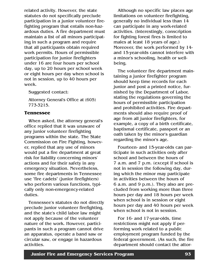related activity. However, the state statutes do not specifically preclude participation in a junior volunteer firefighting program that entails non-hazardous duties. A fire department must maintain a list of all minors participating in such a program and require that all participants obtain required work permits. Hours of permissible participation for junior firefighters under 16 are four hours per school day, up to 20 hours per school week or eight hours per day when school is not in session, up to 40 hours per week.

Suggested contact:

Attorney General's Office at (605) 773-3215.

### **Tennessee**

When asked, the attorney general's office replied that it was unaware of any junior volunteer firefighting programs within the state. The State Commission on Fire Fighting, however, replied that any use of minors would put a fire department at great risk for liability concerning minors' actions and for their safety in any emergency situation. Nevertheless, some fire departments in Tennessee use "fire cadets" (junior firefighters) who perform various functions, typically only non-emergency-related duties.

Tennessee's statutes do not directly preclude junior volunteer firefighting, and the state's child labor law might not apply because of the volunteer nature of the work. However, participants in such a program cannot drive an apparatus, operate a band saw or circular saw, or engage in hazardous activities.

Although no specific law places age limitations on volunteer firefighting, generally no individual less than 14 can participate in any work-related activities. (Interestingly, conscription for fighting forest fires is limited to males at least 18 years of age.) Moreover, the work performed by 14 and 15-year-olds cannot interfere with a minor's schooling, health or wellbeing.

The volunteer fire department maintaining a junior firefighter program should keep time records for each junior and post a printed notice, furnished by the Department of Labor, stating the regulations governing the hours of permissible participation and prohibited activities. Fire departments should also require proof of age from all junior firefighters, for example, a copy of a birth certificate, baptismal certificate, passport or an oath taken by the minor's guardian regarding the minor's age.

Fourteen- and 15-year-olds can participate in such activities only after school and between the hours of 7 a.m. and 7 p.m. (except if school is not in session the following day, during which the minor may participate in activities between the hours of 6 a.m. and 9 p.m.). They also are precluded from working more than three hours per day and 18 hours per week when school is in session or eight hours per day and 40 hours per week when school is not in session.

For 16- and 17-year-olds, time restrictions might not apply if performing work related to a public employment program funded by the federal government. (As such, the fire department should contact the attor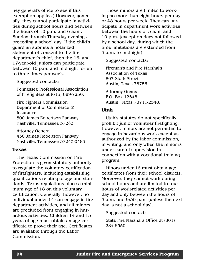ney general's office to see if this exemption applies.) However, generally, they cannot participate in activities during school hours and between the hours of 10 p.m. and 6 a.m., Sunday through Thursday evenings preceding a school day. If the child's guardian submits a notarized statement of consent to the fire department's chief, then the 16- and 17-year-old juniors can participate between 10 p.m. and midnight for up to three times per week.

Suggested contacts:

Tennessee Professional Association of Firefighters at (615) 889-7250.

Fire Fighters Commission Department of Commerce & Insurance 500 James Robertson Parkway Nashville, Tennessee 37243

Attorney General 450 James Robertson Parkway Nashville, Tennessee 37243-0485

# **Texas**

The Texas Commission on Fire Protection is given statutory authority to regulate the voluntary certification of firefighters, including establishing qualifications relating to age and standards. Texas regulations place a minimum age of 18 on this voluntary certification. Generally, however, no individual under 14 can engage in fire department activities, and all minors are precluded from engaging in hazardous activities. Children 14 and 15 years of age must obtain an age certificate to prove their age. Certificates are available through the Labor Commission.

Those minors are limited to working no more than eight hours per day or 48 hours per week. They can participate in department work activities between the hours of 5 a.m. and 10 p.m. (except on days not followed by a school day, during which the time limitations are extended from 5 a.m. to midnight).

Suggested contacts:

Fireman's and Fire Marshal's Association of Texas 807 Stark Street Austin, Texas 78756

Attorney General P.O. Box 12548 Austin, Texas 78711-2548.

# **Utah**

Utah's statutes do not specifically prohibit junior volunteer firefighting. However, minors are not permitted to engage in hazardous work except as authorized by the labor commission, in writing, and only when the minor is under careful supervision in connection with a vocational training program.

Minors under 16 must obtain age certificates from their school districts. Moreover, they cannot work during school hours and are limited to four hours of work-related activities per day and only between the hours of 5 a.m. and 9:30 p.m. (unless the next day is not a school day).

Suggested contact:

State Fire Marshal's Office at (801) 284-6350.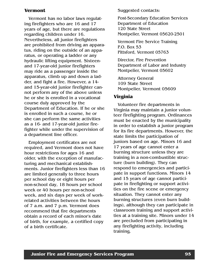# **Vermont**

Vermont has no labor laws regulating firefighters who are 16 and 17 years of age, but there are regulations regarding children under 16. Nevertheless, all junior firefighters are prohibited from driving an apparatus, riding on the outside of an apparatus, or operating a ladder or any hydraulic lifting equipment. Sixteenand 17-year-old junior firefighters may ride as a passenger inside the apparatus, climb up and down a ladder, and fight a fire. However, a 14 and 15-year-old junior firefighter cannot perform any of the above unless he or she is enrolled in a vocational course duly approved by the Department of Education. If he or she is enrolled in such a course, he or she can perform the same activities as a 16- and 17-year-old junior firefighter while under the supervision of a department line officer.

Employment certificates are not required, and Vermont does not have hour restrictions for ages 16 and older, with the exception of manufacturing and mechanical establishments. Junior firefighters less than 16 are limited generally to three hours per school day or eight hours per non-school day, 18 hours per school week or 40 hours per non-school week, and six days per week of workrelated activities between the hours of 7 a.m. and 7 p.m. Vermont does recommend that fire departments obtain a record of each minor's date of birth, for example, a certified copy of a birth certificate.

Suggested contacts:

Post-Secondary Education Services Department of Education 120 State Street Montpelier, Vermont 05620-2501

Vermont Fire Service Training P.O. Box 53 Pittsford, Vermont 05763

Director, Fire Prevention Department of Labor and Industry Montpelier, Vermont 05602

Attorney General 109 State Street Montpelier, Vermont 05609

# **Virginia**

Volunteer fire departments in Virginia may maintain a junior volunteer firefighting program. Ordinances must be enacted by the municipality in order to establish a junior program for its fire departments. However, the state limits the participation of juniors based on age. Minors 16 and 17 years of age cannot enter a burning structure unless they are training in a non-combustible structure (burn building). They can respond to emergencies and participate in support functions. Minors 14 and 15 years of age cannot participate in firefighting or support activities on the fire scene or emergency situation. They cannot enter any burning structures (even burn buildings), although they can participate in classroom training and support activities at a training site. Minors under 14 are precluded from participating in any firefighting activity, including training.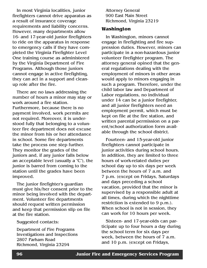In most Virginia localities, junior firefighters cannot drive apparatus as a result of insurance coverage requirements and liability concerns. However, many departments allow 16- and 17-year-old junior firefighters to ride on the apparatus in response to emergency calls if they have completed the Virginia Firefighter Level One training course as administered by the Virginia Department of Fire Programs. Although those juniors cannot engage in active firefighting, they can act in a support and cleanup role after the fire.

There are no laws addressing the number of hours a minor may stay or work around a fire station. Furthermore, because there is no payment involved, work permits are not required. Moreover, it is understood fully that belonging to a volunteer fire department does not excuse the minor from his or her attendance in school. Some fire departments take the process one step further. They monitor the grades of the juniors and, if any junior falls below an acceptable level (usually a "C"), the junior is barred from coming to the station until the grades have been improved.

The junior firefighter's guardian must give his/her consent prior to the minor being involved with the department. Volunteer fire departments should request written permission and keep that permission slip on file at the fire station.

Suggested contacts:

Department of Fire Programs Investigations and Inspections 2807 Parham Road Richmond, Virginia 23294

Attorney General 900 East Main Street Richmond, Virginia 23219

### **Washington**

In Washington, minors cannot engage in firefighting and fire suppression duties. However, minors can participate in a non-hazardous junior volunteer firefighter program. The attorney general opined that the general regulations dealing with the employment of minors in other areas would apply to minors engaging in such a program. Therefore, under the child labor law and Department of Labor regulations, no individual under 14 can be a junior firefighter, and all junior firefighters need an employment permit, which must be kept on file at the fire station, and written parental permission on a parent/school authorization form available through the school district.

Fourteen- and 15-year-old junior firefighters cannot participate in junior activities during school hours. In addition, they are limited to three hours of work-related duties per school day up to six days per week between the hours of 7 a.m. and 7 p.m. (except on Fridays, Saturdays and days preceding a school vacation, provided that the minor is supervised by a responsible adult at all times, during which the nighttime restriction is extended to 9 p.m.). When school is not in session, they can work for 10 hours per week.

Sixteen- and 17-year-olds can participate up to four hours a day during the school term for six days per week, between the hours of 7 a.m. and 10 p.m. (except on Fridays,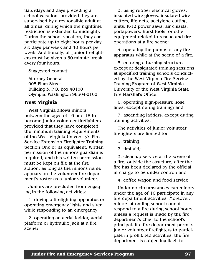Saturdays and days preceding a school vacation, provided they are supervised by a responsible adult at all times, during which the nighttime restriction is extended to midnight). During the school vacation, they can participate up to eight hours per day, six days per week and 40 hours per week. Additionally, all junior firefighters must be given a 30-minute break every four hours.

Suggested contact:

Attorney General 905 Plum Street Building 3, P.O. Box 40100 Olympia, Washington 98504-0100

# **West Virginia**

West Virginia allows minors between the ages of 16 and 18 to become junior volunteer firefighters provided that they have completed the minimum training requirements of the West Virginia University's Fire Service Extension Firefighter Training Section One or its equivalent. Written permission of the minor's guardian is required, and this written permission must be kept on file at the fire station, as long as the minor's name appears on the volunteer fire department's roster as a junior volunteer.

Juniors are precluded from engaging in the following activities:

1. driving a firefighting apparatus or operating emergency lights and siren while responding to an emergency;

2. operating an aerial ladder, aerial platform or hydraulic jack at a fire scene;

3. using rubber electrical gloves, insulated wire gloves, insulated wire cutters, life nets, acetylene cutting units, K-12 power saws, air chisels, portapowers, hurst tools, or other equipment related to rescue and fire operations at a fire scene;

4. operating the pumps of any fire apparatus while at the scene of a fire;

5. entering a burning structure, except at designated training sessions at specified training schools conducted by the West Virginia Fire Service Training Program of West Virginia University or the West Virginia State Fire Marshal's Office;

6. operating high-pressure hose lines, except during training; and

7. ascending ladders, except during training activities.

The activities of junior volunteer firefighters are limited to:

1. training;

2. first aid;

3. clean-up service at the scene of a fire, outside the structure, after the fire has been declared by the official in charge to be under control; and

4. coffee wagon and food service.

Under no circumstances can minors under the age of 16 participate in any fire department activities. Moreover, minors attending school cannot respond to a fire during school hours unless a request is made by the fire department's chief to the school's principal. If a fire department permits junior volunteer firefighters to participate in prohibited activities, the fire department is subjecting itself to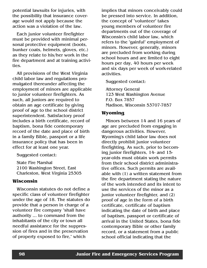potential lawsuits for injuries, with the possibility that insurance coverage would not apply because the action was a violation of the law.

Each junior volunteer firefighter must be provided with minimal personal protective equipment (boots, bunker coats, helmets, gloves, etc.) as they relate to his/her work in the fire department and at training activities.

All provisions of the West Virginia child labor law and regulations promulgated thereunder affecting the employment of minors are applicable to junior volunteer firefighters. As such, all juniors are required to obtain an age certificate by giving proof of age to the school district superintendent. Satisfactory proof includes a birth certificate, record of baptism, bona fide contemporary record of the date and place of birth in a family Bible, passport or a life insurance policy that has been in effect for at least one year.

Suggested contact:

State Fire Marshal 2100 Washington Street, East Charleston, West Virginia 25305

# **Wisconsin**

Wisconsin statutes do not define a specific class of volunteer firefighter under the age of 18. The statutes do provide that a person in charge of a volunteer fire company "shall have authority ... to command from the inhabitants of the city or town all needful assistance for the suppression of fires and in the preservation of property exposed to fire," which

implies that minors conceivably could be pressed into service. In addition, the concept of "volunteer" takes young members of volunteer fire departments out of the coverage of Wisconsin's child labor law, which refers to the "gainful" employment of minors. However, generally, minors are precluded from working during school hours and are limited to eight hours per day, 40 hours per week and six days per week of work-related activities.

Suggested contact:

Attorney General 123 West Washington Avenue P.O. Box 7857 Madison, Wisconsin 53707-7857

# **Wyoming**

Minors between 14 and 16 years of age are precluded from engaging in dangerous activities. However, Wyoming's child labor law does not directly prohibit junior volunteer firefighting. As such, prior to becoming junior firefighters, 14- and 15 year-olds must obtain work permits from their school district administrative offices. Such permits are available with (1) a written statement from the fire department stating the nature of the work intended and its intent to use the services of the minor as a junior volunteer firefighter, and (2) proof of age in the form of a birth certificate, certificate of baptism indicating the date of birth and place of baptism, passport or certificate of arrival in the United States, bona fide contemporary Bible or other family record, or a statement from a public school official indicating that the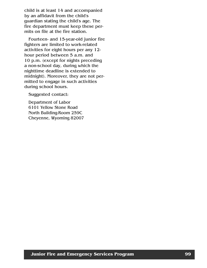child is at least 14 and accompanied by an affidavit from the child's guardian stating the child's age. The fire department must keep these permits on file at the fire station.

Fourteen- and 15-year-old junior fire fighters are limited to work-related activities for eight hours per any 12 hour period between 5 a.m. and 10 p.m. (except for nights preceding a non-school day, during which the nighttime deadline is extended to midnight). Moreover, they are not permitted to engage in such activities during school hours.

Suggested contact:

Department of Labor 6101 Yellow Stone Road North Building-Room 259C Cheyenne, Wyoming 82007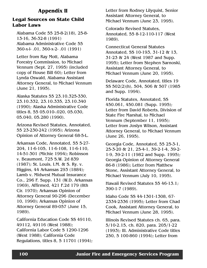# **Appendix II**

### **Legal Sources on State Child Labor Laws**

Alabama Code 55 25-8-2(18), 25-8- 13-16, 36-32-8 (1991) Alabama Administrative Code 55 360-x-l- .01, 360-x-2- .01 (1991)

Letter from Ray Mott, Alabama Forestry Commission, to Michael Vennum (Sept. 27, 1995) (included copy of House Bill 60); Letter from Lynda Oswald, Alabama Assistant Attorney General, to Michael Vennum (June 21, 1995).

Alaska Statutes 55 23.10.325-330, 23.10.332, 23.10.335, 23.10.340 (1990); Alaska Administrative Code titles 8, 55 05.010-.020, 05.030, 05.040, 05.280 (1990).

Arizona Revised Statutes, Annotated, 55 23-230-242 (1995); Arizona Opinion of Attorney General 68-5-L.

Arkansas Code, Annotated, 55 5-27- 204, 11-6-105, 11-6-108, 11-6-110, 14-51-301 (Michie 1994); Robinson v. Beaumont, 725 S.W. 2d 839 (1987); St. Louis, I.M. & S. Ry. v. Higgins, 44 Arkansas 293 (1884); Lamb v. Midwest Mutual Insurance Co., 296 F. Supp. 131 (W.D. Arkansas 1969), Affirmed, 421 F.2d 179 (8th Cir. 1970); Arkansas Opinion of Attorney General 90-296 (December 10, 1990); Arkansas Opinion of Attorney General 89-057 (June 15, 1989).

California Education Code SS 49110, 49112, 49116 (West 1988); California Labor Code S 1290-1296 (West 1988); California Code Regulations, titles 8, 5 11701 (1994); Letter from Rodney Lilyquist, Senior Assistant Attorney General, to Michael Vennum (June 23, 1995).

Colorado Revised Statutes, Annotated, 55 8-12-110-117 (West 1989).

Connecticut General Statutes Annotated, SS 10-193, 31-12 & 13, 31-23 & 24 (West 1987 and Supp. 1995); Letter from Stephen Sarnoski, Assistant Attorney General, to Michael Vennum (June 20, 1995).

Delaware Code, Annotated, titles 19 SS 502(2)(h), 504, 506 & 507 (1985 and Supp. 1994).

Florida Statutes, Annotated, SS 450.061, 450.081 (Supp. 1995); Letter from David Roberts, Division of State Fire Marshal, to Michael Vennum (September 11, 1995); Letter from Joslyn Wilson, Assistant Attorney General, to Michael Vennum (June 26, 1995).

Georgia Code, Annotated, 55 25-3-1, 25-3-20 & 21, 25-4-1, 39-2-1-4, 39-2- 1-9, 39-2-11 (1982 and Supp. 1995); Georgia Opinion of Attorney General 86-8 (1986); Letter from Matthew Stone, Assistant Attorney General, to Michael Vennum (July 10, 1995).

Hawaii Revised Statutes 55 46-13.1; 390-1-7 (1989).

Idaho Code SS 44-1301-1308, 67- 2334-2336 (1995); Letter from Chad Cook, Assistant Attorney General, to Michael Vennum (June 28, 1995).

Illinois Revised Statutes ch. 65, para. 5/10-2.15, ch. 820, para. 205/1-22 (1993); Ill. Administrative Code titles 250, 5 100-860 (1994); Letter from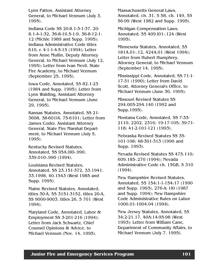Lynn Patton, Assistant Attorney General, to Michael Vennum (July 3, 1995).

Indiana Code SS 20-8.1-3-1-37, 20- 8.1-4-1-32, 36-8-10.5-1-9, 36-8-12-1- 12 (Michie 1989 and Supp. 1995); Indiana Administrative Code titles 610, r. 4-1-1-4-5-15 (1994); Letter from Anne Mullin, Deputy Attorney General, to Michael Vennum (July 12, 1995); Letter from Ivan Nevil, State Fire Academy, to Michael Vennum (September 25, 1995).

Iowa Code, Annotated, 55 82.1-23 (1984 and Supp. 1995); Letter from Lynn Walding, Assistant Attorney General, to Michael Vennum (June 29, 1995).

Kansas Statutes, Annotated, SS 21- 3608, 38-601l4, 75-6101; Letter from James Coder, Assistant Attorney General, State Fire Marshal Department, to Michael Vennum (July 5, 1995).

Kentucky Revised Statutes, Annotated, SS 95A.0l0-.990, 339.010-.990 (1994).

Louisiana Revised Statutes, Annotated, SS 23.151-372, 33.1941, 33.1998, 40.1543 (West 1985 and Supp. 1995).

Maine Revised Statutes, Annotated, titles 30-A, 55 3151-3152, titles 20-A, SS 9000-9003, titles 26, 5 701 (West 1994).

Maryland Code, Annotated, Labor & Employment SS 3-201-216 (1994); Letter from Jack Schwartz, Chief Counsel Opinions & Advice, to Michael Vennum (Nov. 14, 1995).

Massachusetts General Laws, Annotated, ch. 31, 5 58, ch. 149, 55 56-99 (West 1982 and Supp. 1995).

Michigan Compensation Laws, Annotated, 55 409.l01-.124 (West 1995).

Minnesota Statutes, Annotated, 55 181A.01-.12, 424A.01 (West 1994); Letter from Hubert Humphrey, Attorney General, to Michael Vennum (September 14, 1995).

Mississippi Code, Annotated, SS 71-1- 17-31 (1990); Letter from David Scott, Attorney General's Office, to Michael Vennum (June 30, 1995).

Missouri Revised Statutes SS 294.005-294.140 (1992 and Supp.1995).

Montana Code, Annotated, SS 7-33- 2110, 2202, 2316; 19-17-105; 39-71- 118; 41-2-101-121 (1993).

Nebraska Revised Statutes SS 35- 101-108; 48-301-313 (1990 and Supp. 1993).

Nevada Revised Statutes SS 475.110; 609.185-.270 (1994); Nevada Administrative Code ch. 15GB, 5 310 (1994).

New Hampshire Revised Statutes, Annotated, 55 154:1-1-154:17 (1990 and Supp. 1993), 276-A: l-l0 (1987 and Supp. 1994); New Hampshire Code Administrative Rules on Labor 1000.01-1004.04 (1994).

New Jersey Statutes, Annotated, 55 34:2-21.17, 40A:14-95-98 (West 1993); Letter from William Cane, Department of Community Affairs, to Michael Vennum (July 7, 1995).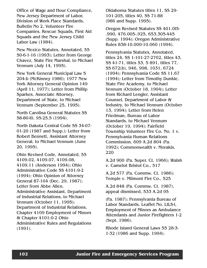Office of Wage and Hour Compliance, New Jersey Department of Labor, Division of Work Place Standards, Bulletin No 2, Volunteer Fire Companies, Rescue Squads, First Aid Squads and the New Jersey Child Labor Law (1984).

New Mexico Statutes, Annotated, 55 50-6-1-16 (1993); Letter from George Chavez, State Fire Marshal, to Michael Vennum (July 14, 1995).

New York General Municipal Law S 204-b (McKinney 1986); 1977 New York Attorney General Opinion 149 (April 11, 1977); Letter from Phillip Sparkes, Associate Attorney, Department of State, to Michael Vennum (September 25, 1995).

North Carolina General Statutes SS 58-80-l0, 95-25.5 (1994).

North Dakota Central Code SS 34-07- 01-20 (1987 and Supp.); Letter from Robert Bennett, Assistant Attorney General, to Michael Vennum (June 20, 1995).

Ohio Revised Code, Annotated, 55 4109.02, 4109.07, 4109.08, 4109.11 (Anderson 1994); Ohio Administrative Code SS 4101:9-2 (1994); Ohio Opinion of Attorney General 87-104 (Dec. 29, 1987); Letter from Abbe Allen, Administrative Assistant, Department of Industrial Relations, to Michael Vennum (October 11, 1995); Department of Industrial Relations, Chapter 4109 Employment of Minors & Chapter 4101:0-2 Ohio Administrative Rules and Regulations (1991).

Oklahoma Statutes titles 11, SS 29- 101-205, titles 40, SS 71-88 (986 and Supp. 1995).

Oregon Revised Statutes SS 401.0l5- .990, 476.005-.925, 653.305-445 (Supp. 1994); Oregon Administrative Rules 838-10.000-10.060 (1994).

Pennsylvania Statutes, Annotated, titles 24, SS 1-101-27-2702, titles 43, SS 41-71, titles 53, 5 891, titles 77, SS 672(b), 946, 998, 1031, 6724 (1994); Pennsylvania Code SS 11.67 (1994); Letter from Timothy Dunkle, State Fire Academy, to Michael Vennum (October 18, 1994); Letter from Richard Lengler, Assistant Counsel, Department of Labor & Industry, to Michael Vennum (October 13, 1994); Letter from Helen Friedman, Bureau of Labor Standards, to Michael Vennum (October 19, 1994); Fairfield Township Volunteer Fire Co. No. 1 v. Pennsylvania Human Relations Commission, 609 A.2d 804 (Pa. 1992); Commonwealth v. Morakis, 220

A.2d 900 (Pa. Super. Ct. 1966); Walsh v. Camelot Bristol Co., 517

A.2d 577 (Pa. Commw. Ct. 1986); Temple v. Milmont Fire Co., 525

A.2d 848 (Pa. Commw. Ct. 1987), appeal dismissed, 533 A.2d 95

(Pa. 1987); Pennsylvania Bureau of Labor Standards, Leaflet No. LILS-l, Employment of Minors as Ambulance Attendants and Junior Firefighters 1-2 (Sept. 1986).

Rhode Island General Laws 55 28-3- 1-32 (1986 and Supp. 1994).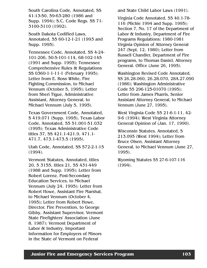South Carolina Code, Annotated, SS 41-13-50, 59-63-280 (1986 and Supp. 1994); S.C. Code Regs. SS 71- 3100-3110 (1992).

South Dakota Codified Laws, Annotated, 55 60-12-1-21 (1993 and Supp. 1995).

Tennessee Code, Annotated, SS 4-24- 101-206, 50-5-101-114, 68-102-145 (1991 and Supp. 1995); Tennessee Comprehensive Rules & Regulations SS 0360-1-1-11-1 (February 1995); Letter from E. Ross White, Fire Fighting Commission, to Michael Vennum (October 5, 1995); Letter from Sheri Tigue, Administrative Assistant, Attorney General, to Michael Vennum (July 5, 1995).

Texas Government Code, Annotated, S 419.071 (Supp. 1995), Texas Labor Code, Annotated, 55 51.001-51.032 (1995); Texas Administrative Code titles 37, SS 421.1-421.9, 471.1- 471.7, 473.1-473.5 (1995).

Utah Code, Annotated, SS 572-2-1-15 (1994).

Vermont Statutes, Annotated, titles 20, 5 3155, titles 21, 55 431-449 (1988 and Supp. 1995); Letter from Robert Lorenz, Post-Secondary Education Services, to Michael Vennum (July 24, 1995); Letter from Robert Howe, Assistant Fire Marshal, to Michael Vennum (October 4, 1995); Letter from Robert Howe, Director, Fire Prevention, to George Gibby, Assistant Supervisor, Vermont State Firefighters' Association (June 8, 1987); Vermont Department of Labor & Industry, Important Information for Employers of Minors in the State of Vermont on Federal

and State Child Labor Laws (1991).

Virginia Code Annotated, 55 40.1-78- 116 (Michie 1994 and Supp. 1995); Section 7, No. 17 of the Department of Labor & Industry, Department of Fire Programs Regulations; 1980-1981 Virginia Opinion of Attorney General 247 (Sept. 12, 1980); Letter from Russell Chandler, Department of Fire programs, to Thomas Daniel, Attorney General. Office (June 26, 1995).

Washington Revised Code Annotated, SS 26.28.060, 26.28.070, 28A.27.090 (1986); Washington Administrative Code 55 296-125-01070 (1995); Letter from James Pharris, Senior Assistant Attorney General, to Michael Vennum (June 27, 1995).

West Virginia Code 55 21-6-1-11, 42- 9-6 (1994); West Virginia Attorney General Opinion of (Jan. 17, 1990).

Wisconsin Statutes, Annotated, S 213.095 (West 1994); Letter from Bruce Olsen, Assistant Attorney General, to Michael Vennum (June 27, 1995).

Wyoming Statutes 55 27-6-107-116 (1994).